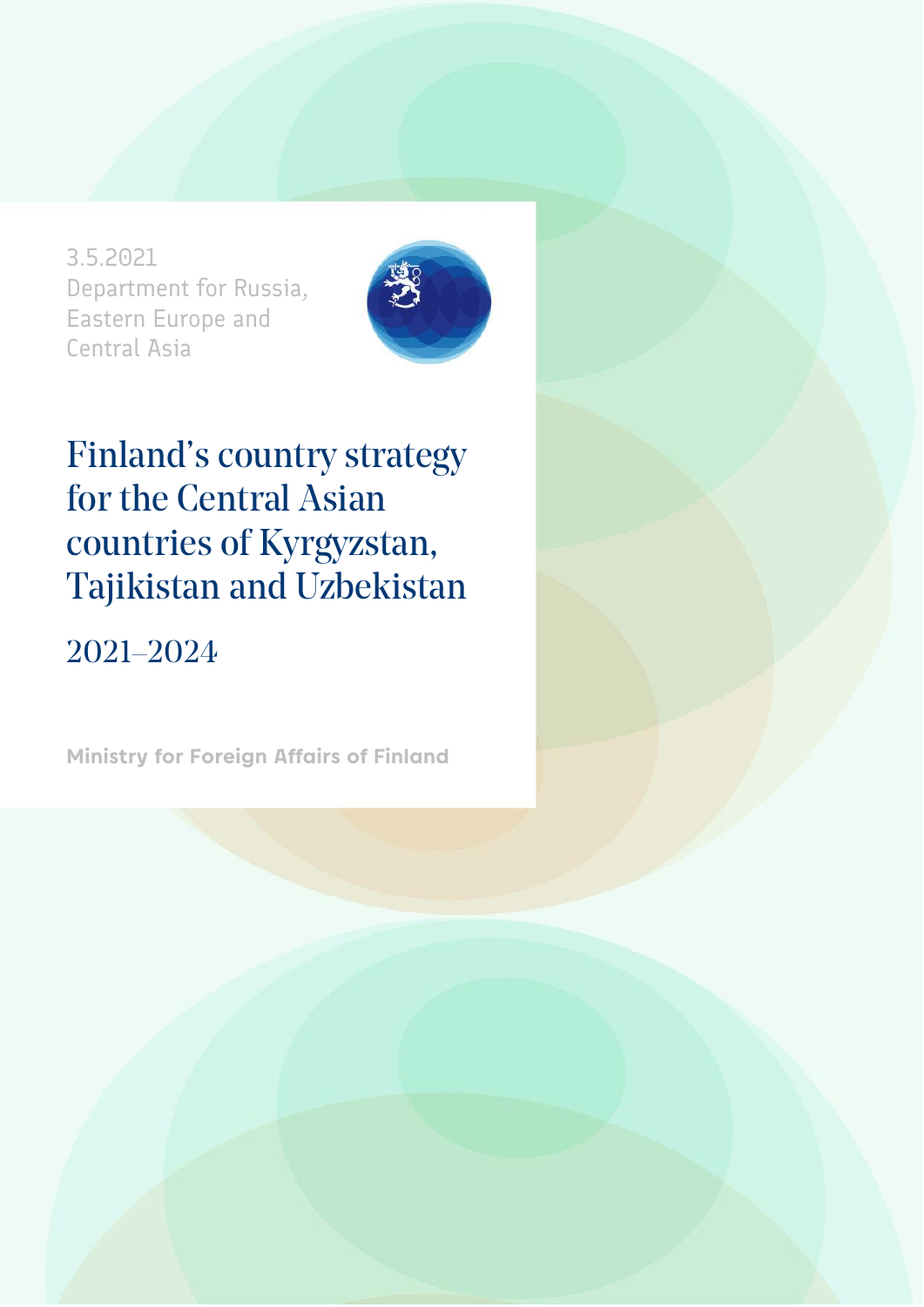3.5.2021 Department for Russia, Eastern Europe and Central Asia



### Finland's country strategy for the Central Asian countries of Kyrgyzstan, Tajikistan and Uzbekistan

### 2021–2024

**Ministry for Foreign Affairs of Finland**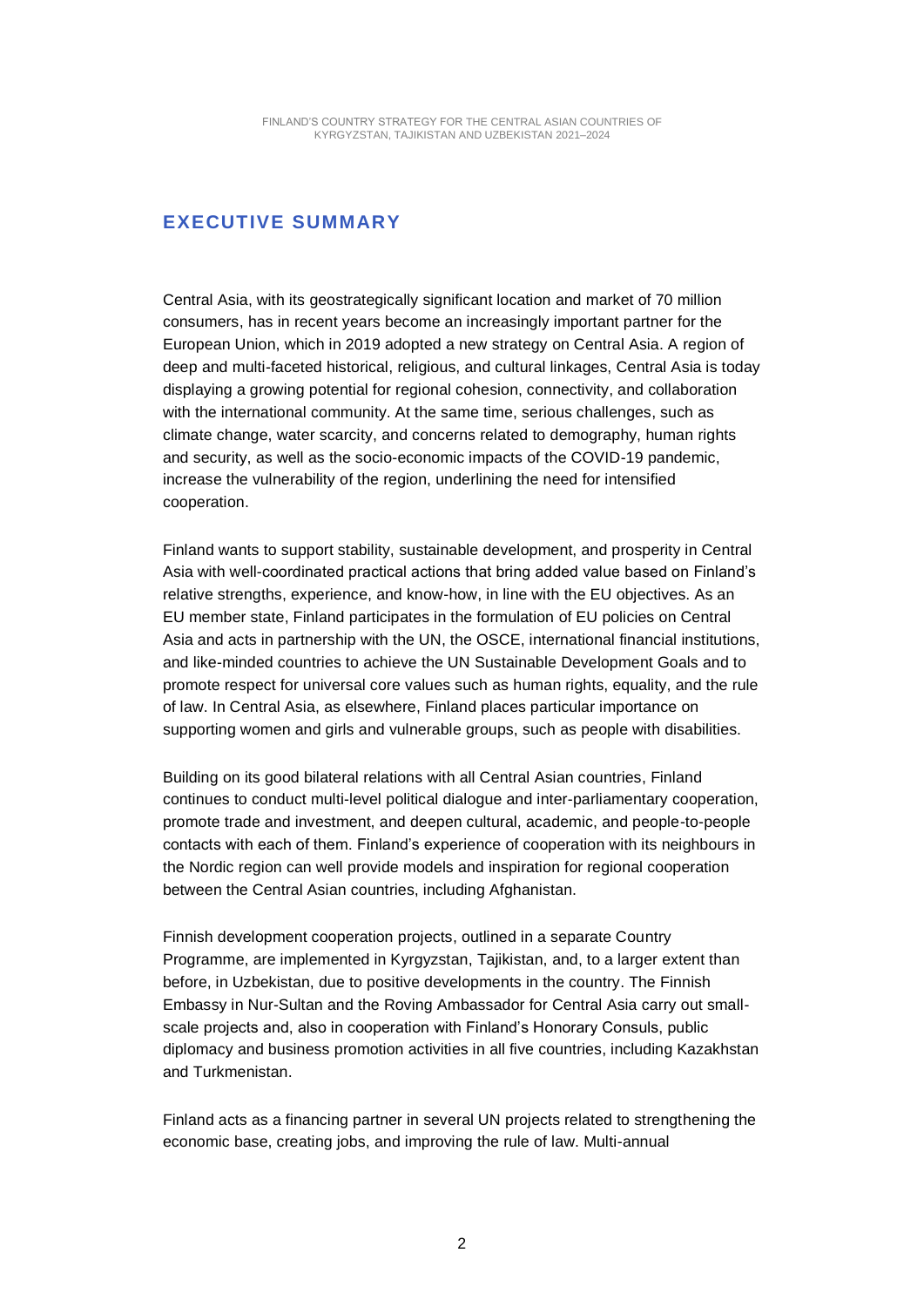#### **EXECUTIVE SUMMARY**

Central Asia, with its geostrategically significant location and market of 70 million consumers, has in recent years become an increasingly important partner for the European Union, which in 2019 adopted a new strategy on Central Asia. A region of deep and multi-faceted historical, religious, and cultural linkages, Central Asia is today displaying a growing potential for regional cohesion, connectivity, and collaboration with the international community. At the same time, serious challenges, such as climate change, water scarcity, and concerns related to demography, human rights and security, as well as the socio-economic impacts of the COVID-19 pandemic, increase the vulnerability of the region, underlining the need for intensified cooperation.

Finland wants to support stability, sustainable development, and prosperity in Central Asia with well-coordinated practical actions that bring added value based on Finland's relative strengths, experience, and know-how, in line with the EU objectives. As an EU member state, Finland participates in the formulation of EU policies on Central Asia and acts in partnership with the UN, the OSCE, international financial institutions, and like-minded countries to achieve the UN Sustainable Development Goals and to promote respect for universal core values such as human rights, equality, and the rule of law. In Central Asia, as elsewhere, Finland places particular importance on supporting women and girls and vulnerable groups, such as people with disabilities.

Building on its good bilateral relations with all Central Asian countries, Finland continues to conduct multi-level political dialogue and inter-parliamentary cooperation, promote trade and investment, and deepen cultural, academic, and people-to-people contacts with each of them. Finland's experience of cooperation with its neighbours in the Nordic region can well provide models and inspiration for regional cooperation between the Central Asian countries, including Afghanistan.

Finnish development cooperation projects, outlined in a separate Country Programme, are implemented in Kyrgyzstan, Tajikistan, and, to a larger extent than before, in Uzbekistan, due to positive developments in the country. The Finnish Embassy in Nur-Sultan and the Roving Ambassador for Central Asia carry out smallscale projects and, also in cooperation with Finland's Honorary Consuls, public diplomacy and business promotion activities in all five countries, including Kazakhstan and Turkmenistan.

Finland acts as a financing partner in several UN projects related to strengthening the economic base, creating jobs, and improving the rule of law. Multi-annual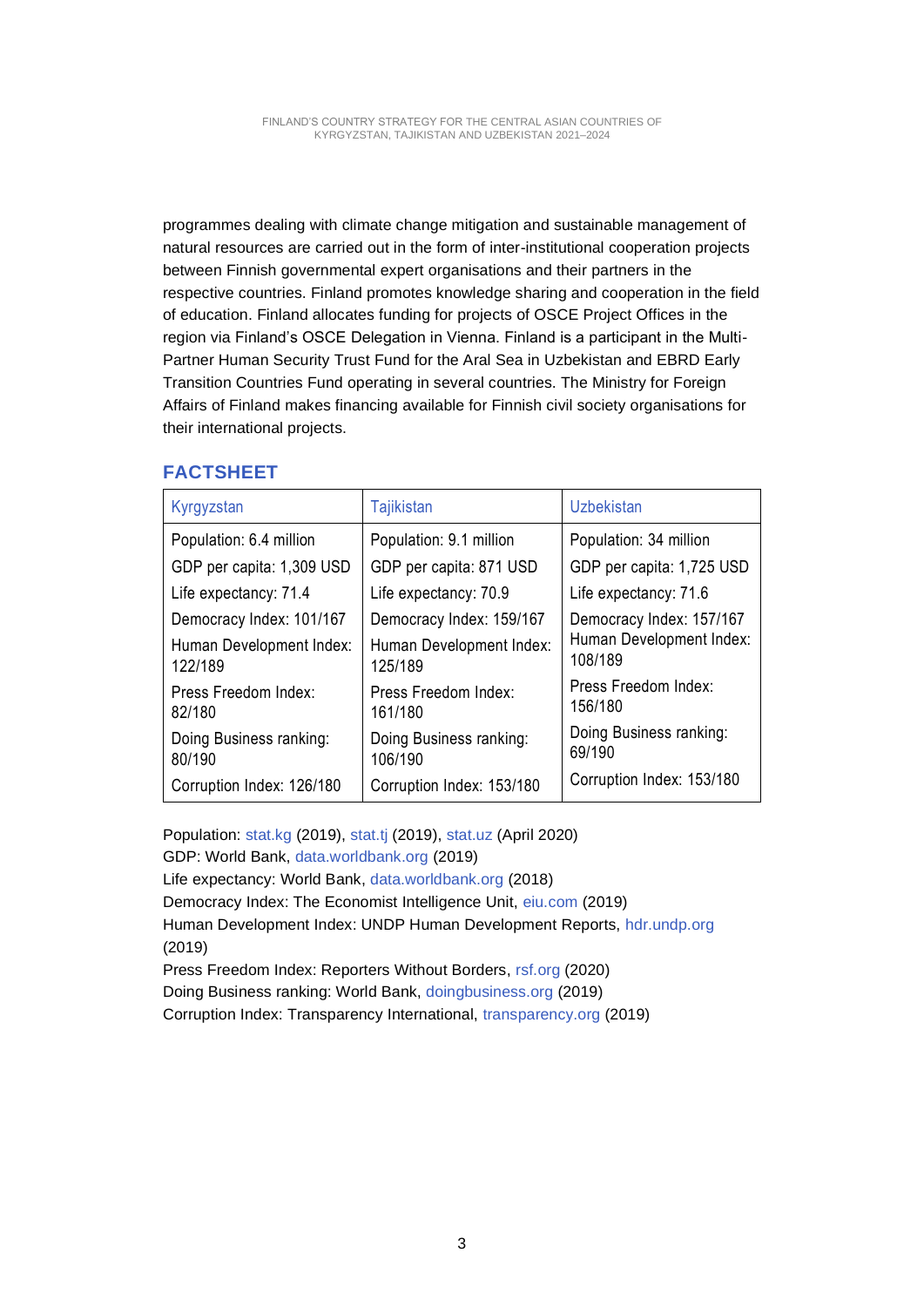programmes dealing with climate change mitigation and sustainable management of natural resources are carried out in the form of inter-institutional cooperation projects between Finnish governmental expert organisations and their partners in the respective countries. Finland promotes knowledge sharing and cooperation in the field of education. Finland allocates funding for projects of OSCE Project Offices in the region via Finland's OSCE Delegation in Vienna. Finland is a participant in the Multi-Partner Human Security Trust Fund for the Aral Sea in Uzbekistan and EBRD Early Transition Countries Fund operating in several countries. The Ministry for Foreign Affairs of Finland makes financing available for Finnish civil society organisations for their international projects.

#### **FACTSHEET**

| Kyrgyzstan                          | <b>Tajikistan</b>                   | <b>Uzbekistan</b>                   |
|-------------------------------------|-------------------------------------|-------------------------------------|
| Population: 6.4 million             | Population: 9.1 million             | Population: 34 million              |
| GDP per capita: 1,309 USD           | GDP per capita: 871 USD             | GDP per capita: 1,725 USD           |
| Life expectancy: 71.4               | Life expectancy: 70.9               | Life expectancy: 71.6               |
| Democracy Index: 101/167            | Democracy Index: 159/167            | Democracy Index: 157/167            |
| Human Development Index:<br>122/189 | Human Development Index:<br>125/189 | Human Development Index:<br>108/189 |
| Press Freedom Index:<br>82/180      | Press Freedom Index:<br>161/180     | Press Freedom Index:<br>156/180     |
| Doing Business ranking:<br>80/190   | Doing Business ranking:<br>106/190  | Doing Business ranking:<br>69/190   |
| Corruption Index: 126/180           | Corruption Index: 153/180           | Corruption Index: 153/180           |

Population: [stat.kg](http://stat.kg/) (2019), [stat.tj](http://stat.tj/) (2019), [stat.uz](http://www.stat.uz/) (April 2020) GDP: World Bank, [data.worldbank.org](http://www.data.worldbank.org/) (2019) Life expectancy: World Bank, [data.worldbank.org](http://www.data.worldbank.org/) (2018) Democracy Index: The Economist Intelligence Unit, [eiu.com](http://www.eiu.com/) (2019) Human Development Index: UNDP Human Development Reports, [hdr.undp.org](http://www.hdr.undp.org/) (2019) Press Freedom Index: Reporters Without Borders, [rsf.org](http://www.rsf.org/) (2020) Doing Business ranking: World Bank, [doingbusiness.org](http://www.doingbusiness.org/) (2019) Corruption Index: Transparency International, [transparency.org](http://www.transparency.org/) (2019)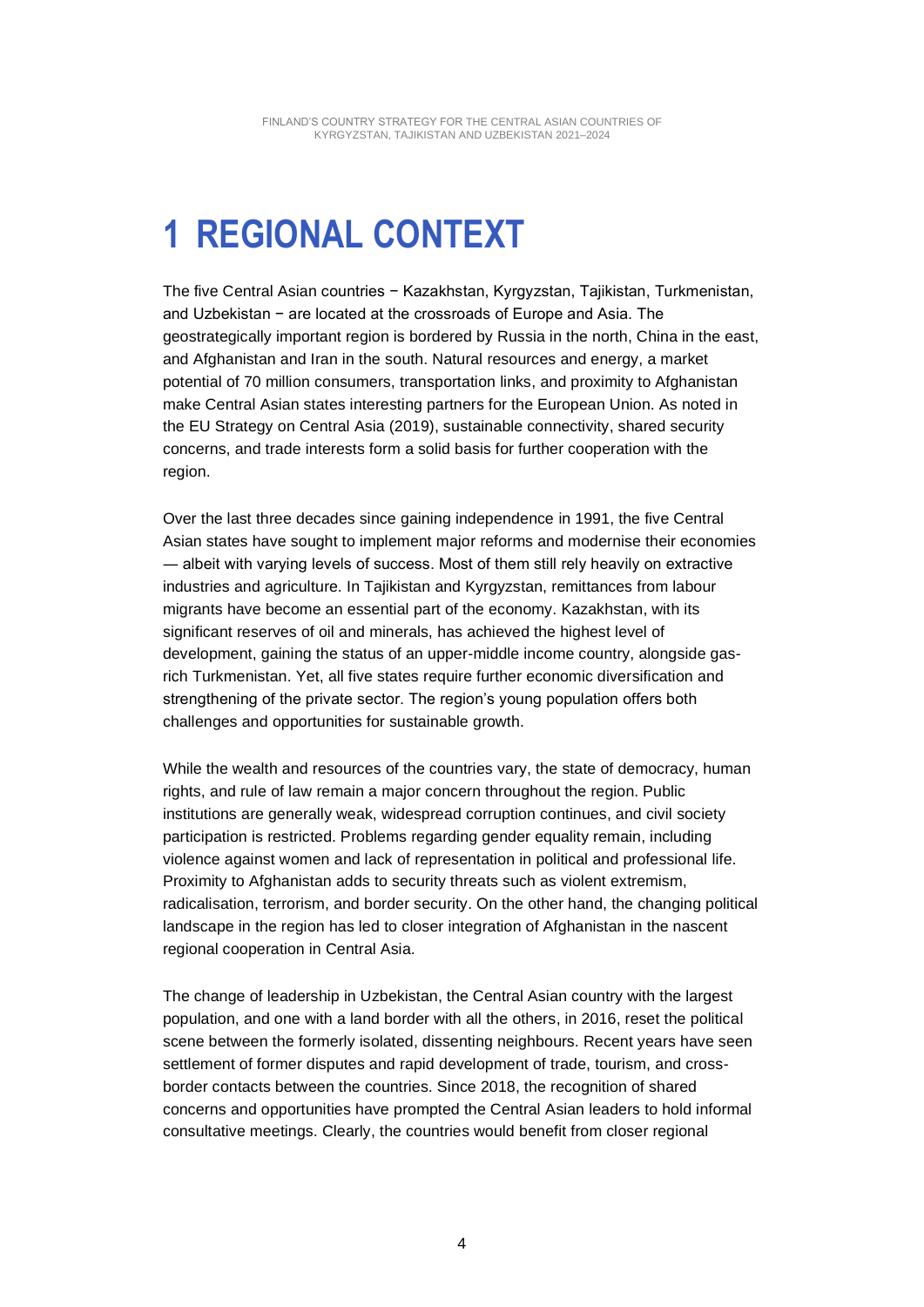## **1 REGIONAL CONTEXT**

The five Central Asian countries − Kazakhstan, Kyrgyzstan, Tajikistan, Turkmenistan, and Uzbekistan − are located at the crossroads of Europe and Asia. The geostrategically important region is bordered by Russia in the north, China in the east, and Afghanistan and Iran in the south. Natural resources and energy, a market potential of 70 million consumers, transportation links, and proximity to Afghanistan make Central Asian states interesting partners for the European Union. As noted in the EU Strategy on Central Asia (2019), sustainable connectivity, shared security concerns, and trade interests form a solid basis for further cooperation with the region.

Over the last three decades since gaining independence in 1991, the five Central Asian states have sought to implement major reforms and modernise their economies ― albeit with varying levels of success. Most of them still rely heavily on extractive industries and agriculture. In Tajikistan and Kyrgyzstan, remittances from labour migrants have become an essential part of the economy. Kazakhstan, with its significant reserves of oil and minerals, has achieved the highest level of development, gaining the status of an upper-middle income country, alongside gasrich Turkmenistan. Yet, all five states require further economic diversification and strengthening of the private sector. The region's young population offers both challenges and opportunities for sustainable growth.

While the wealth and resources of the countries vary, the state of democracy, human rights, and rule of law remain a major concern throughout the region. Public institutions are generally weak, widespread corruption continues, and civil society participation is restricted. Problems regarding gender equality remain, including violence against women and lack of representation in political and professional life. Proximity to Afghanistan adds to security threats such as violent extremism, radicalisation, terrorism, and border security. On the other hand, the changing political landscape in the region has led to closer integration of Afghanistan in the nascent regional cooperation in Central Asia.

The change of leadership in Uzbekistan, the Central Asian country with the largest population, and one with a land border with all the others, in 2016, reset the political scene between the formerly isolated, dissenting neighbours. Recent years have seen settlement of former disputes and rapid development of trade, tourism, and crossborder contacts between the countries. Since 2018, the recognition of shared concerns and opportunities have prompted the Central Asian leaders to hold informal consultative meetings. Clearly, the countries would benefit from closer regional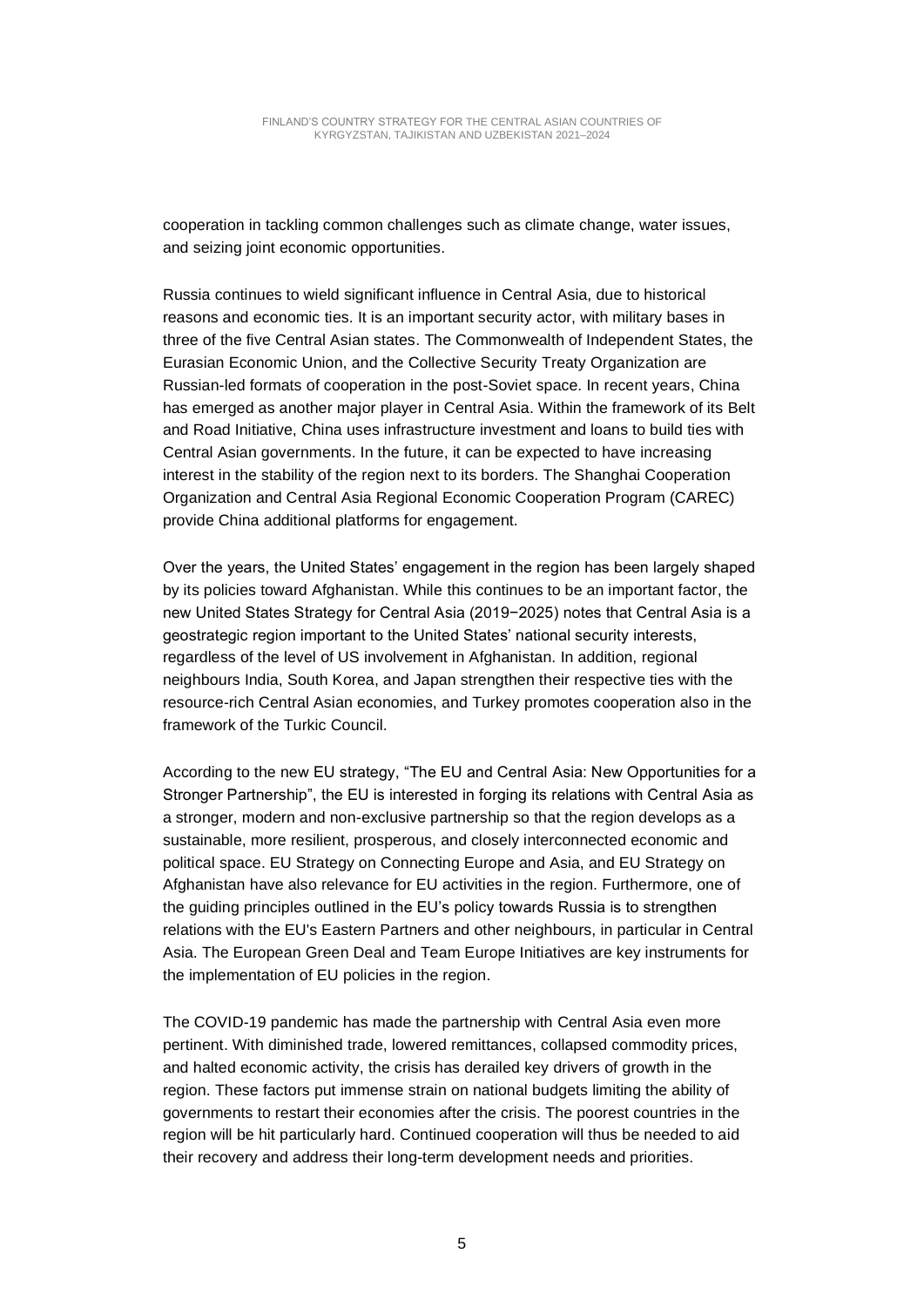cooperation in tackling common challenges such as climate change, water issues, and seizing joint economic opportunities.

Russia continues to wield significant influence in Central Asia, due to historical reasons and economic ties. It is an important security actor, with military bases in three of the five Central Asian states. The Commonwealth of Independent States, the Eurasian Economic Union, and the Collective Security Treaty Organization are Russian-led formats of cooperation in the post-Soviet space. In recent years, China has emerged as another major player in Central Asia. Within the framework of its Belt and Road Initiative, China uses infrastructure investment and loans to build ties with Central Asian governments. In the future, it can be expected to have increasing interest in the stability of the region next to its borders. The Shanghai Cooperation Organization and Central Asia Regional Economic Cooperation Program (CAREC) provide China additional platforms for engagement.

Over the years, the United States' engagement in the region has been largely shaped by its policies toward Afghanistan. While this continues to be an important factor, the new United States Strategy for Central Asia (2019−2025) notes that Central Asia is a geostrategic region important to the United States' national security interests, regardless of the level of US involvement in Afghanistan. In addition, regional neighbours India, South Korea, and Japan strengthen their respective ties with the resource-rich Central Asian economies, and Turkey promotes cooperation also in the framework of the Turkic Council.

According to the new EU strategy, "The EU and Central Asia: New Opportunities for a Stronger Partnership", the EU is interested in forging its relations with Central Asia as a stronger, modern and non-exclusive partnership so that the region develops as a sustainable, more resilient, prosperous, and closely interconnected economic and political space. EU Strategy on Connecting Europe and Asia, and EU Strategy on Afghanistan have also relevance for EU activities in the region. Furthermore, one of the guiding principles outlined in the EU's policy towards Russia is to strengthen relations with the EU's Eastern Partners and other neighbours, in particular in Central Asia. The European Green Deal and Team Europe Initiatives are key instruments for the implementation of EU policies in the region.

The COVID-19 pandemic has made the partnership with Central Asia even more pertinent. With diminished trade, lowered remittances, collapsed commodity prices, and halted economic activity, the crisis has derailed key drivers of growth in the region. These factors put immense strain on national budgets limiting the ability of governments to restart their economies after the crisis. The poorest countries in the region will be hit particularly hard. Continued cooperation will thus be needed to aid their recovery and address their long-term development needs and priorities.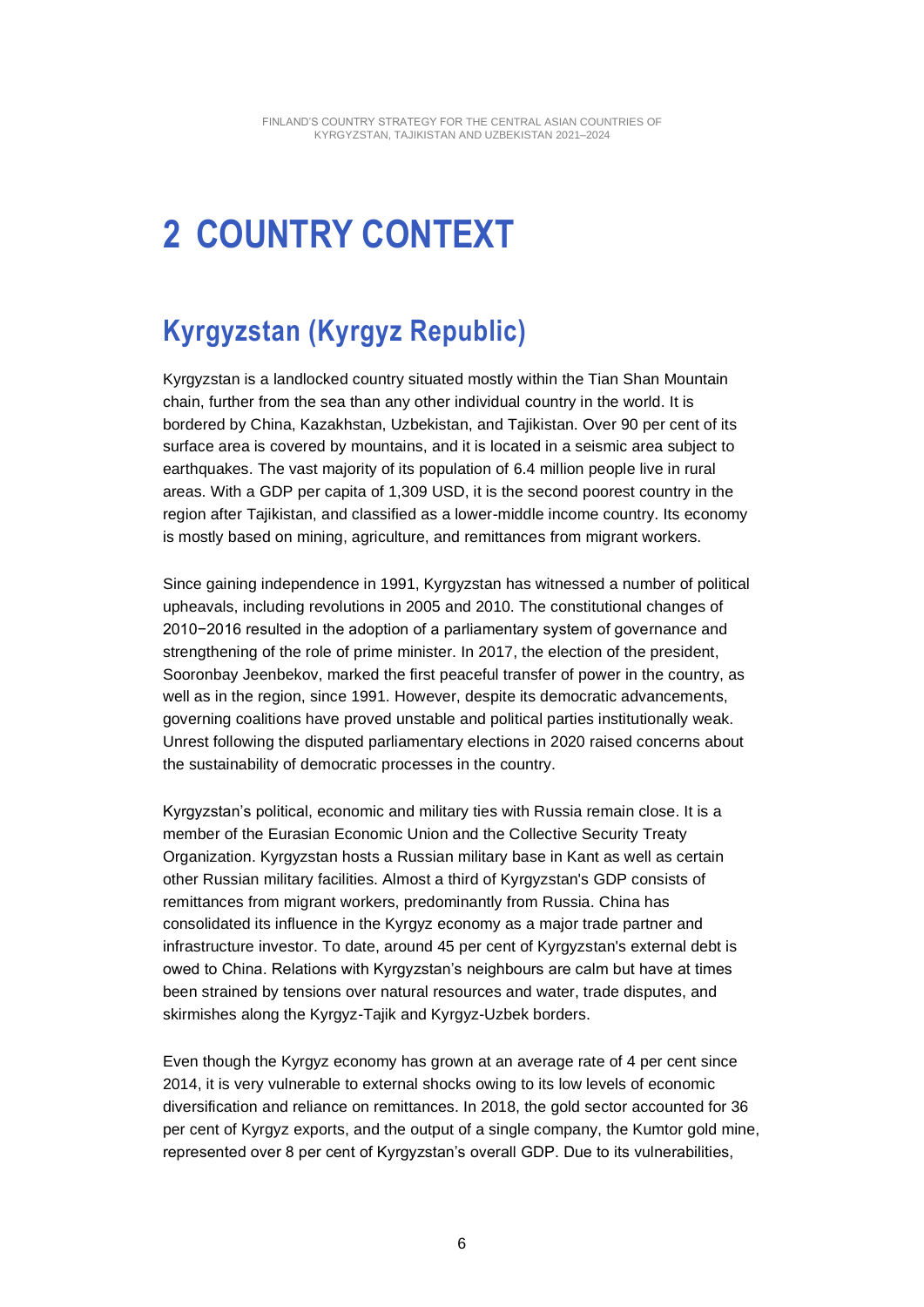# **2 COUNTRY CONTEXT**

### **Kyrgyzstan (Kyrgyz Republic)**

Kyrgyzstan is a landlocked country situated mostly within the Tian Shan Mountain chain, further from the sea than any other individual country in the world. It is bordered by China, Kazakhstan, Uzbekistan, and Tajikistan. Over 90 per cent of its surface area is covered by mountains, and it is located in a seismic area subject to earthquakes. The vast majority of its population of 6.4 million people live in rural areas. With a GDP per capita of 1,309 USD, it is the second poorest country in the region after Tajikistan, and classified as a lower-middle income country. Its economy is mostly based on mining, agriculture, and remittances from migrant workers.

Since gaining independence in 1991, Kyrgyzstan has witnessed a number of political upheavals, including revolutions in 2005 and 2010. The constitutional changes of 2010−2016 resulted in the adoption of a parliamentary system of governance and strengthening of the role of prime minister. In 2017, the election of the president, Sooronbay Jeenbekov, marked the first peaceful transfer of power in the country, as well as in the region, since 1991. However, despite its democratic advancements, governing coalitions have proved unstable and political parties institutionally weak. Unrest following the disputed parliamentary elections in 2020 raised concerns about the sustainability of democratic processes in the country.

Kyrgyzstan's political, economic and military ties with Russia remain close. It is a member of the Eurasian Economic Union and the Collective Security Treaty Organization. Kyrgyzstan hosts a Russian military base in Kant as well as certain other Russian military facilities. Almost a third of Kyrgyzstan's GDP consists of remittances from migrant workers, predominantly from Russia. China has consolidated its influence in the Kyrgyz economy as a major trade partner and infrastructure investor. To date, around 45 per cent of Kyrgyzstan's external debt is owed to China. Relations with Kyrgyzstan's neighbours are calm but have at times been strained by tensions over natural resources and water, trade disputes, and skirmishes along the Kyrgyz-Tajik and Kyrgyz-Uzbek borders.

Even though the Kyrgyz economy has grown at an average rate of 4 per cent since 2014, it is very vulnerable to external shocks owing to its low levels of economic diversification and reliance on remittances. In 2018, the gold sector accounted for 36 per cent of Kyrgyz exports, and the output of a single company, the Kumtor gold mine, represented over 8 per cent of Kyrgyzstan's overall GDP. Due to its vulnerabilities,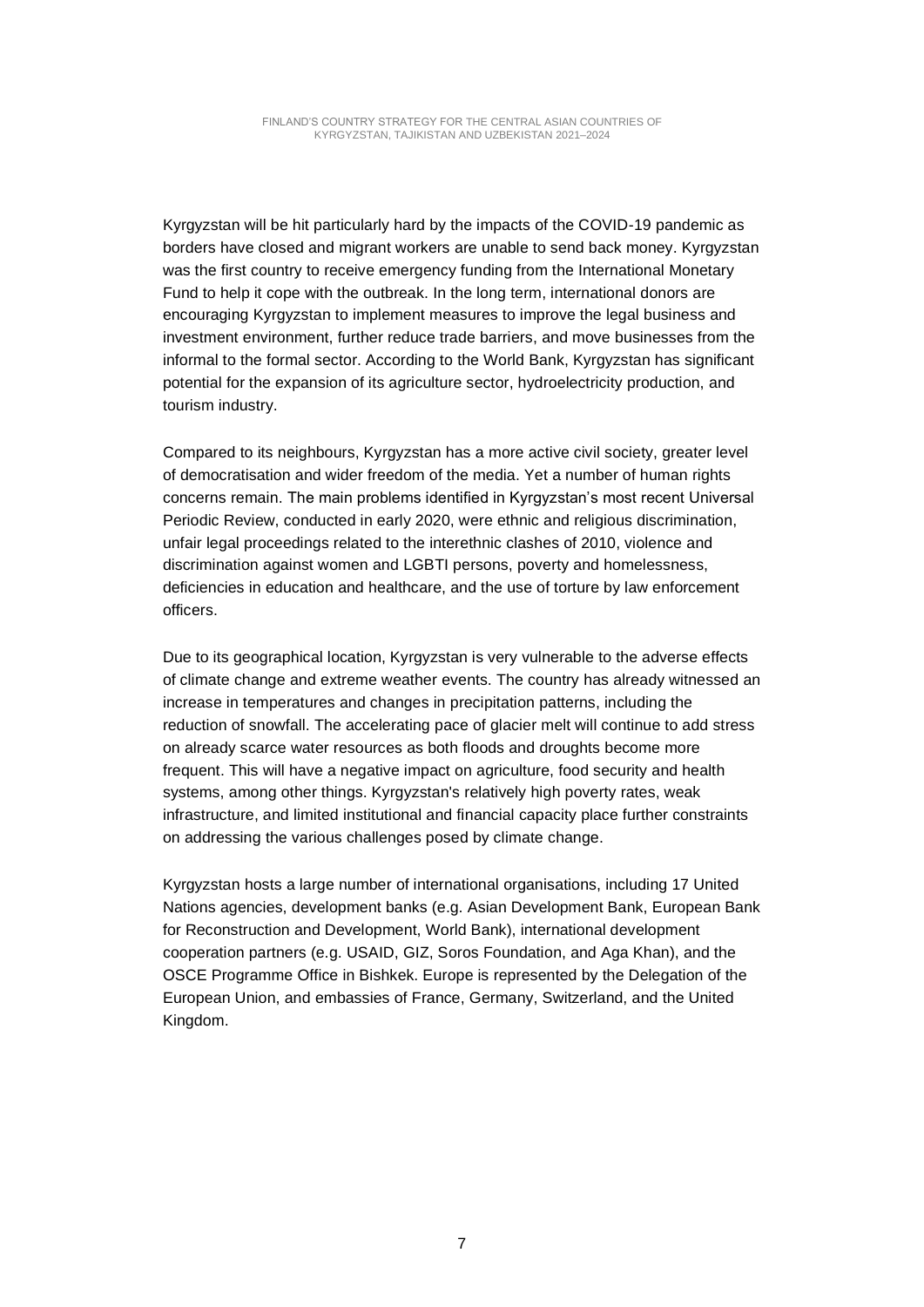Kyrgyzstan will be hit particularly hard by the impacts of the COVID-19 pandemic as borders have closed and migrant workers are unable to send back money. Kyrgyzstan was the first country to receive emergency funding from the International Monetary Fund to help it cope with the outbreak. In the long term, international donors are encouraging Kyrgyzstan to implement measures to improve the legal business and investment environment, further reduce trade barriers, and move businesses from the informal to the formal sector. According to the World Bank, Kyrgyzstan has significant potential for the expansion of its agriculture sector, hydroelectricity production, and tourism industry.

Compared to its neighbours, Kyrgyzstan has a more active civil society, greater level of democratisation and wider freedom of the media. Yet a number of human rights concerns remain. The main problems identified in Kyrgyzstan's most recent Universal Periodic Review, conducted in early 2020, were ethnic and religious discrimination, unfair legal proceedings related to the interethnic clashes of 2010, violence and discrimination against women and LGBTI persons, poverty and homelessness, deficiencies in education and healthcare, and the use of torture by law enforcement officers.

Due to its geographical location, Kyrgyzstan is very vulnerable to the adverse effects of climate change and extreme weather events. The country has already witnessed an increase in temperatures and changes in precipitation patterns, including the reduction of snowfall. The accelerating pace of glacier melt will continue to add stress on already scarce water resources as both floods and droughts become more frequent. This will have a negative impact on agriculture, food security and health systems, among other things. Kyrgyzstan's relatively high poverty rates, weak infrastructure, and limited institutional and financial capacity place further constraints on addressing the various challenges posed by climate change.

Kyrgyzstan hosts a large number of international organisations, including 17 United Nations agencies, development banks (e.g. Asian Development Bank, European Bank for Reconstruction and Development, World Bank), international development cooperation partners (e.g. USAID, GIZ, Soros Foundation, and Aga Khan), and the OSCE Programme Office in Bishkek. Europe is represented by the Delegation of the European Union, and embassies of France, Germany, Switzerland, and the United Kingdom.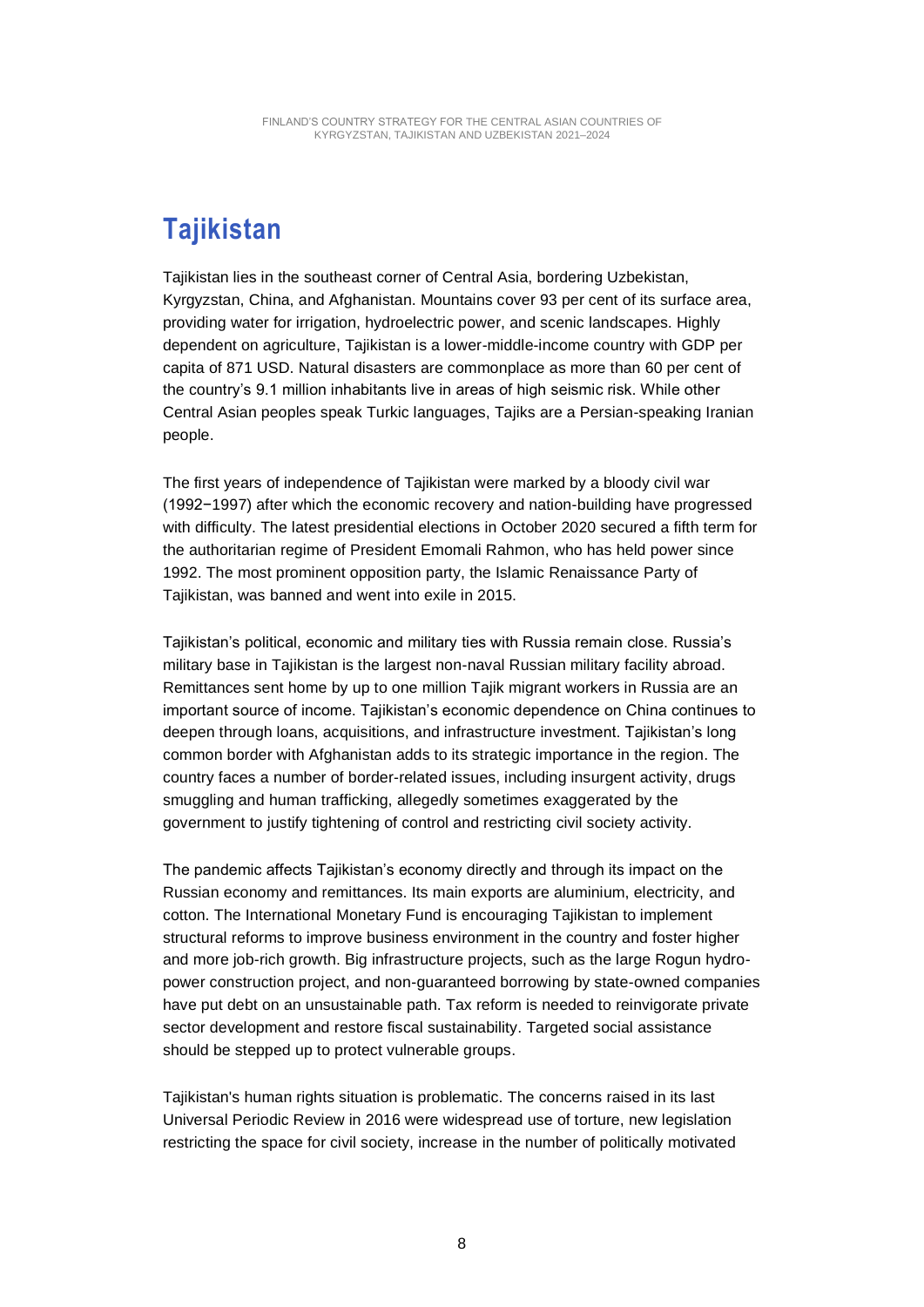### **Tajikistan**

Tajikistan lies in the southeast corner of Central Asia, bordering Uzbekistan, Kyrgyzstan, China, and Afghanistan. Mountains cover 93 per cent of its surface area, providing water for irrigation, hydroelectric power, and scenic landscapes. Highly dependent on agriculture, Tajikistan is a lower-middle-income country with GDP per capita of 871 USD. Natural disasters are commonplace as more than 60 per cent of the country's 9.1 million inhabitants live in areas of high seismic risk. While other Central Asian peoples speak Turkic languages, Tajiks are a Persian-speaking Iranian people.

The first years of independence of Tajikistan were marked by a bloody civil war (1992−1997) after which the economic recovery and nation-building have progressed with difficulty. The latest presidential elections in October 2020 secured a fifth term for the authoritarian regime of President Emomali Rahmon, who has held power since 1992. The most prominent opposition party, the Islamic Renaissance Party of Tajikistan, was banned and went into exile in 2015.

Tajikistan's political, economic and military ties with Russia remain close. Russia's military base in Tajikistan is the largest non-naval Russian military facility abroad. Remittances sent home by up to one million Tajik migrant workers in Russia are an important source of income. Tajikistan's economic dependence on China continues to deepen through loans, acquisitions, and infrastructure investment. Tajikistan's long common border with Afghanistan adds to its strategic importance in the region. The country faces a number of border-related issues, including insurgent activity, drugs smuggling and human trafficking, allegedly sometimes exaggerated by the government to justify tightening of control and restricting civil society activity.

The pandemic affects Tajikistan's economy directly and through its impact on the Russian economy and remittances. Its main exports are aluminium, electricity, and cotton. The International Monetary Fund is encouraging Tajikistan to implement structural reforms to improve business environment in the country and foster higher and more job-rich growth. Big infrastructure projects, such as the large Rogun hydropower construction project, and non-guaranteed borrowing by state-owned companies have put debt on an unsustainable path. Tax reform is needed to reinvigorate private sector development and restore fiscal sustainability. Targeted social assistance should be stepped up to protect vulnerable groups.

Tajikistan's human rights situation is problematic. The concerns raised in its last Universal Periodic Review in 2016 were widespread use of torture, new legislation restricting the space for civil society, increase in the number of politically motivated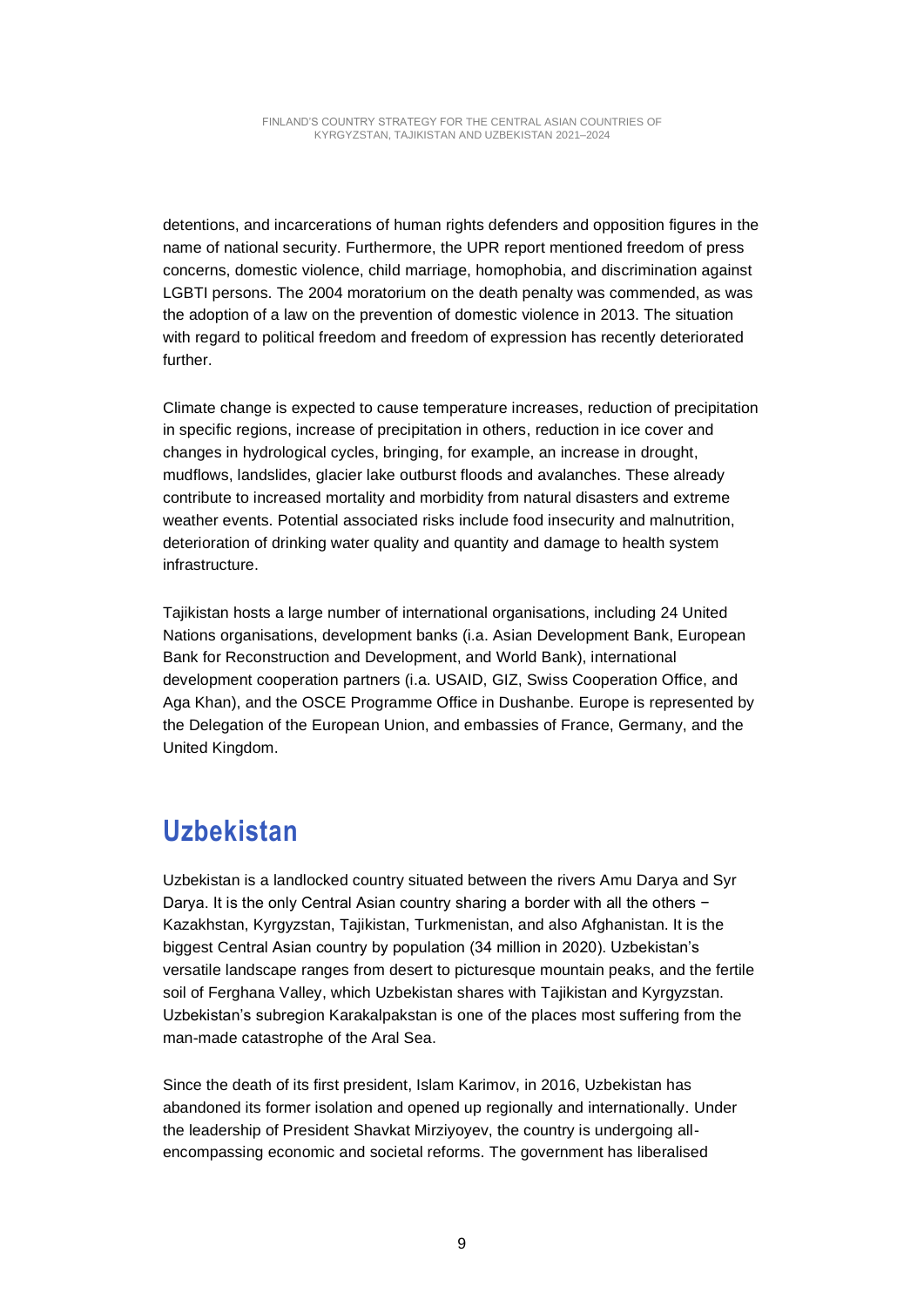detentions, and incarcerations of human rights defenders and opposition figures in the name of national security. Furthermore, the UPR report mentioned freedom of press concerns, domestic violence, child marriage, homophobia, and discrimination against LGBTI persons. The 2004 moratorium on the death penalty was commended, as was the adoption of a law on the prevention of domestic violence in 2013. The situation with regard to political freedom and freedom of expression has recently deteriorated further.

Climate change is expected to cause temperature increases, reduction of precipitation in specific regions, increase of precipitation in others, reduction in ice cover and changes in hydrological cycles, bringing, for example, an increase in drought, mudflows, landslides, glacier lake outburst floods and avalanches. These already contribute to increased mortality and morbidity from natural disasters and extreme weather events. Potential associated risks include food insecurity and malnutrition, deterioration of drinking water quality and quantity and damage to health system infrastructure.

Tajikistan hosts a large number of international organisations, including 24 United Nations organisations, development banks (i.a. Asian Development Bank, European Bank for Reconstruction and Development, and World Bank), international development cooperation partners (i.a. USAID, GIZ, Swiss Cooperation Office, and Aga Khan), and the OSCE Programme Office in Dushanbe. Europe is represented by the Delegation of the European Union, and embassies of France, Germany, and the United Kingdom.

#### **Uzbekistan**

Uzbekistan is a landlocked country situated between the rivers Amu Darya and Syr Darya. It is the only Central Asian country sharing a border with all the others − Kazakhstan, Kyrgyzstan, Tajikistan, Turkmenistan, and also Afghanistan. It is the biggest Central Asian country by population (34 million in 2020). Uzbekistan's versatile landscape ranges from desert to picturesque mountain peaks, and the fertile soil of Ferghana Valley, which Uzbekistan shares with Tajikistan and Kyrgyzstan. Uzbekistan's subregion Karakalpakstan is one of the places most suffering from the man-made catastrophe of the Aral Sea.

Since the death of its first president, Islam Karimov, in 2016, Uzbekistan has abandoned its former isolation and opened up regionally and internationally. Under the leadership of President Shavkat Mirziyoyev, the country is undergoing allencompassing economic and societal reforms. The government has liberalised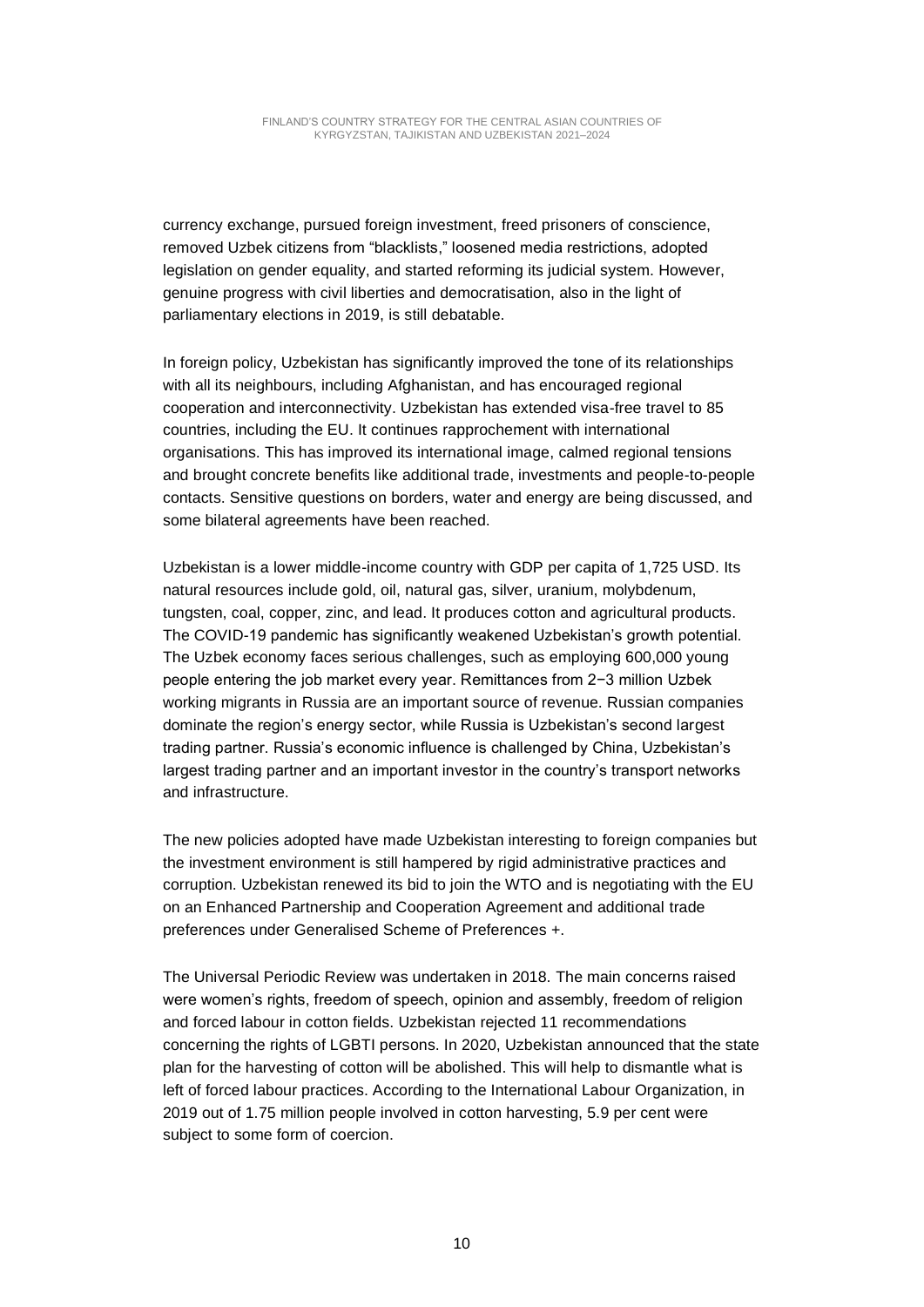currency exchange, pursued foreign investment, freed prisoners of conscience, removed Uzbek citizens from "blacklists," loosened media restrictions, adopted legislation on gender equality, and started reforming its judicial system. However, genuine progress with civil liberties and democratisation, also in the light of parliamentary elections in 2019, is still debatable.

In foreign policy, Uzbekistan has significantly improved the tone of its relationships with all its neighbours, including Afghanistan, and has encouraged regional cooperation and interconnectivity. Uzbekistan has extended visa-free travel to 85 countries, including the EU. It continues rapprochement with international organisations. This has improved its international image, calmed regional tensions and brought concrete benefits like additional trade, investments and people-to-people contacts. Sensitive questions on borders, water and energy are being discussed, and some bilateral agreements have been reached.

Uzbekistan is a lower middle-income country with GDP per capita of 1,725 USD. Its natural resources include gold, oil, natural gas, silver, uranium, molybdenum, tungsten, coal, copper, zinc, and lead. It produces cotton and agricultural products. The COVID-19 pandemic has significantly weakened Uzbekistan's growth potential. The Uzbek economy faces serious challenges, such as employing 600,000 young people entering the job market every year. Remittances from 2−3 million Uzbek working migrants in Russia are an important source of revenue. Russian companies dominate the region's energy sector, while Russia is Uzbekistan's second largest trading partner. Russia's economic influence is challenged by China, Uzbekistan's largest trading partner and an important investor in the country's transport networks and infrastructure.

The new policies adopted have made Uzbekistan interesting to foreign companies but the investment environment is still hampered by rigid administrative practices and corruption. Uzbekistan renewed its bid to join the WTO and is negotiating with the EU on an Enhanced Partnership and Cooperation Agreement and additional trade preferences under Generalised Scheme of Preferences +.

The Universal Periodic Review was undertaken in 2018. The main concerns raised were women's rights, freedom of speech, opinion and assembly, freedom of religion and forced labour in cotton fields. Uzbekistan rejected 11 recommendations concerning the rights of LGBTI persons. In 2020, Uzbekistan announced that the state plan for the harvesting of cotton will be abolished. This will help to dismantle what is left of forced labour practices. According to the International Labour Organization, in 2019 out of 1.75 million people involved in cotton harvesting, 5.9 per cent were subject to some form of coercion.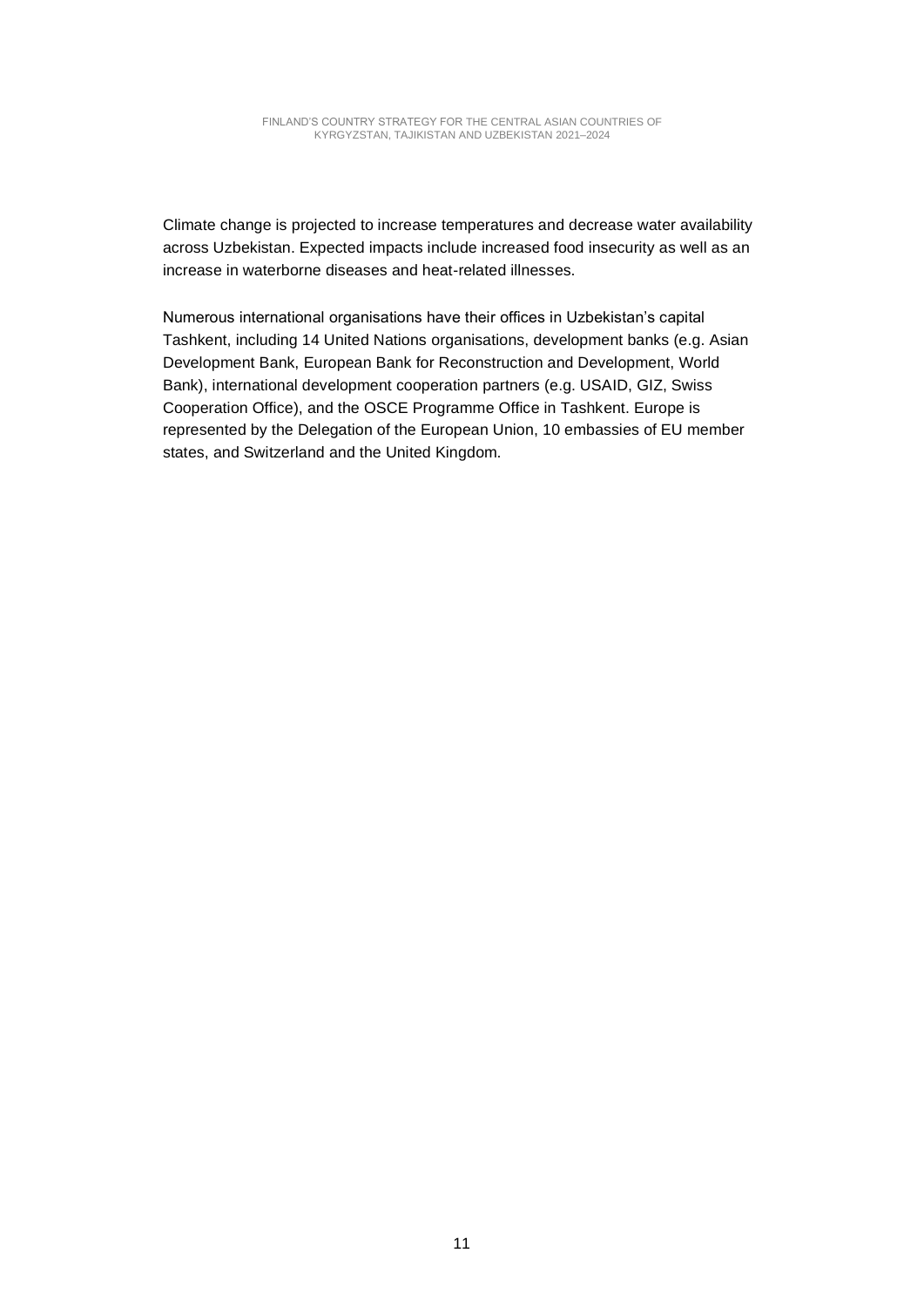Climate change is projected to increase temperatures and decrease water availability across Uzbekistan. Expected impacts include increased food insecurity as well as an increase in waterborne diseases and heat-related illnesses.

Numerous international organisations have their offices in Uzbekistan's capital Tashkent, including 14 United Nations organisations, development banks (e.g. Asian Development Bank, European Bank for Reconstruction and Development, World Bank), international development cooperation partners (e.g. USAID, GIZ, Swiss Cooperation Office), and the OSCE Programme Office in Tashkent. Europe is represented by the Delegation of the European Union, 10 embassies of EU member states, and Switzerland and the United Kingdom.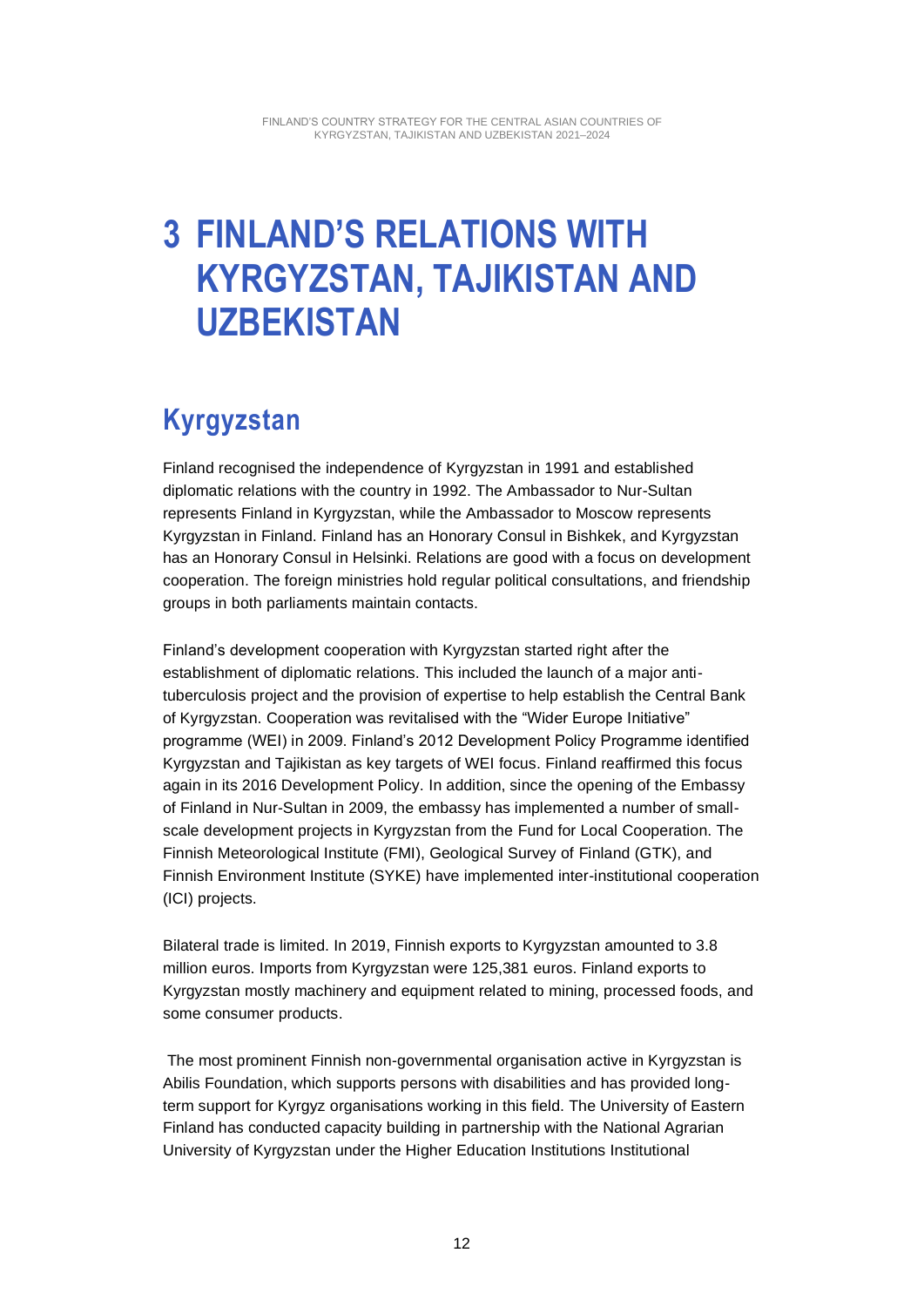### **3 FINLAND'S RELATIONS WITH KYRGYZSTAN, TAJIKISTAN AND UZBEKISTAN**

#### **Kyrgyzstan**

Finland recognised the independence of Kyrgyzstan in 1991 and established diplomatic relations with the country in 1992. The Ambassador to Nur-Sultan represents Finland in Kyrgyzstan, while the Ambassador to Moscow represents Kyrgyzstan in Finland. Finland has an Honorary Consul in Bishkek, and Kyrgyzstan has an Honorary Consul in Helsinki. Relations are good with a focus on development cooperation. The foreign ministries hold regular political consultations, and friendship groups in both parliaments maintain contacts.

Finland's development cooperation with Kyrgyzstan started right after the establishment of diplomatic relations. This included the launch of a major antituberculosis project and the provision of expertise to help establish the Central Bank of Kyrgyzstan. Cooperation was revitalised with the "Wider Europe Initiative" programme (WEI) in 2009. Finland's 2012 Development Policy Programme identified Kyrgyzstan and Tajikistan as key targets of WEI focus. Finland reaffirmed this focus again in its 2016 Development Policy. In addition, since the opening of the Embassy of Finland in Nur-Sultan in 2009, the embassy has implemented a number of smallscale development projects in Kyrgyzstan from the Fund for Local Cooperation. The Finnish Meteorological Institute (FMI), Geological Survey of Finland (GTK), and Finnish Environment Institute (SYKE) have implemented inter-institutional cooperation (ICI) projects.

Bilateral trade is limited. In 2019, Finnish exports to Kyrgyzstan amounted to 3.8 million euros. Imports from Kyrgyzstan were 125,381 euros. Finland exports to Kyrgyzstan mostly machinery and equipment related to mining, processed foods, and some consumer products.

The most prominent Finnish non-governmental organisation active in Kyrgyzstan is Abilis Foundation, which supports persons with disabilities and has provided longterm support for Kyrgyz organisations working in this field. The University of Eastern Finland has conducted capacity building in partnership with the National Agrarian University of Kyrgyzstan under the Higher Education Institutions Institutional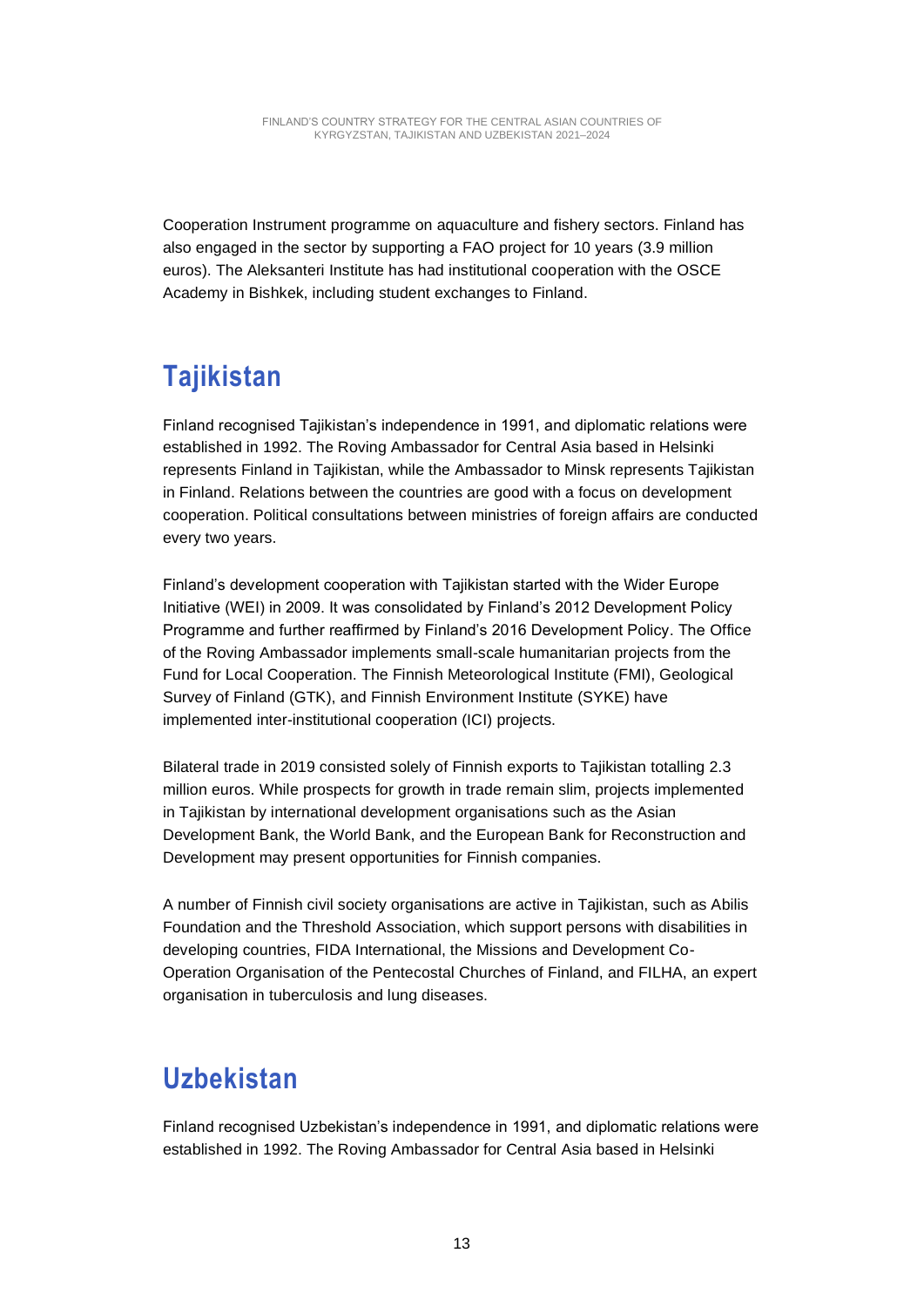Cooperation Instrument programme on aquaculture and fishery sectors. Finland has also engaged in the sector by supporting a FAO project for 10 years (3.9 million euros). The Aleksanteri Institute has had institutional cooperation with the OSCE Academy in Bishkek, including student exchanges to Finland.

### **Tajikistan**

Finland recognised Tajikistan's independence in 1991, and diplomatic relations were established in 1992. The Roving Ambassador for Central Asia based in Helsinki represents Finland in Tajikistan, while the Ambassador to Minsk represents Tajikistan in Finland. Relations between the countries are good with a focus on development cooperation. Political consultations between ministries of foreign affairs are conducted every two years.

Finland's development cooperation with Tajikistan started with the Wider Europe Initiative (WEI) in 2009. It was consolidated by Finland's 2012 Development Policy Programme and further reaffirmed by Finland's 2016 Development Policy. The Office of the Roving Ambassador implements small-scale humanitarian projects from the Fund for Local Cooperation. The Finnish Meteorological Institute (FMI), Geological Survey of Finland (GTK), and Finnish Environment Institute (SYKE) have implemented inter-institutional cooperation (ICI) projects.

Bilateral trade in 2019 consisted solely of Finnish exports to Tajikistan totalling 2.3 million euros. While prospects for growth in trade remain slim, projects implemented in Tajikistan by international development organisations such as the Asian Development Bank, the World Bank, and the European Bank for Reconstruction and Development may present opportunities for Finnish companies.

A number of Finnish civil society organisations are active in Tajikistan, such as Abilis Foundation and the Threshold Association, which support persons with disabilities in developing countries, FIDA International, the Missions and Development Co-Operation Organisation of the Pentecostal Churches of Finland, and FILHA, an expert organisation in tuberculosis and lung diseases.

#### **Uzbekistan**

Finland recognised Uzbekistan's independence in 1991, and diplomatic relations were established in 1992. The Roving Ambassador for Central Asia based in Helsinki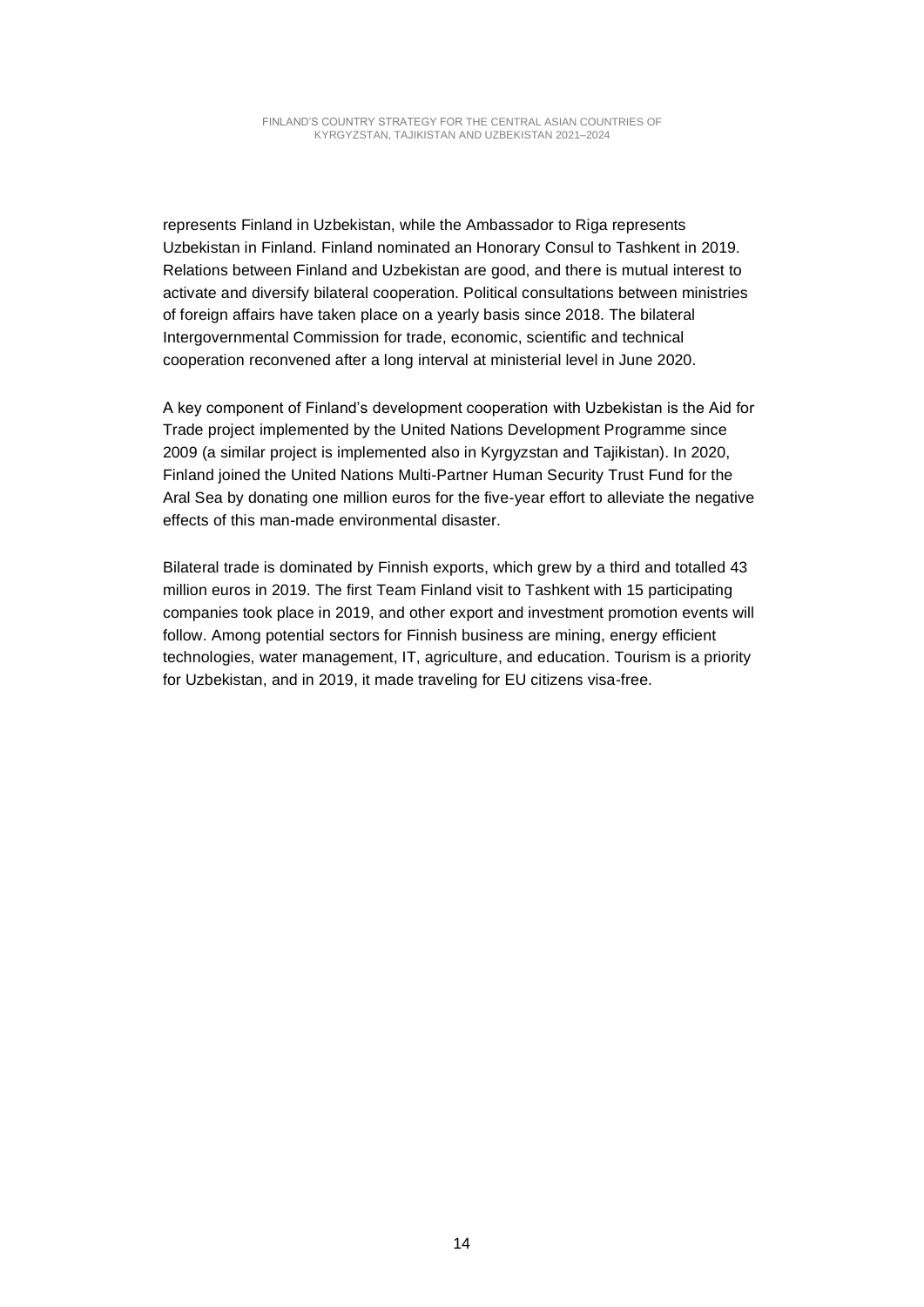represents Finland in Uzbekistan, while the Ambassador to Riga represents Uzbekistan in Finland. Finland nominated an Honorary Consul to Tashkent in 2019. Relations between Finland and Uzbekistan are good, and there is mutual interest to activate and diversify bilateral cooperation. Political consultations between ministries of foreign affairs have taken place on a yearly basis since 2018. The bilateral Intergovernmental Commission for trade, economic, scientific and technical cooperation reconvened after a long interval at ministerial level in June 2020.

A key component of Finland's development cooperation with Uzbekistan is the Aid for Trade project implemented by the United Nations Development Programme since 2009 (a similar project is implemented also in Kyrgyzstan and Tajikistan). In 2020, Finland joined the United Nations Multi-Partner Human Security Trust Fund for the Aral Sea by donating one million euros for the five-year effort to alleviate the negative effects of this man-made environmental disaster.

Bilateral trade is dominated by Finnish exports, which grew by a third and totalled 43 million euros in 2019. The first Team Finland visit to Tashkent with 15 participating companies took place in 2019, and other export and investment promotion events will follow. Among potential sectors for Finnish business are mining, energy efficient technologies, water management, IT, agriculture, and education. Tourism is a priority for Uzbekistan, and in 2019, it made traveling for EU citizens visa-free.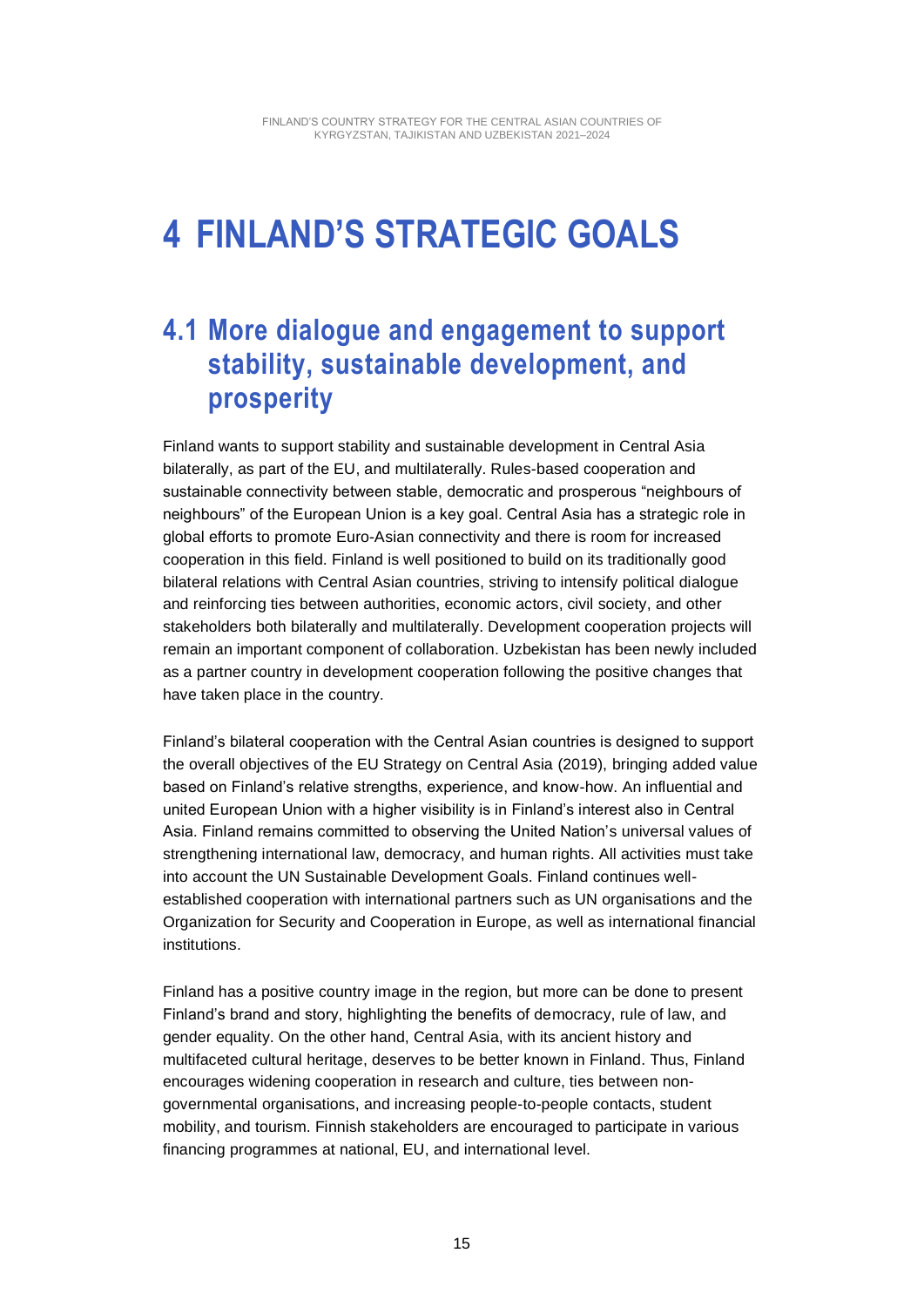## **4 FINLAND'S STRATEGIC GOALS**

#### **4.1 More dialogue and engagement to support stability, sustainable development, and prosperity**

Finland wants to support stability and sustainable development in Central Asia bilaterally, as part of the EU, and multilaterally. Rules-based cooperation and sustainable connectivity between stable, democratic and prosperous "neighbours of neighbours" of the European Union is a key goal. Central Asia has a strategic role in global efforts to promote Euro-Asian connectivity and there is room for increased cooperation in this field. Finland is well positioned to build on its traditionally good bilateral relations with Central Asian countries, striving to intensify political dialogue and reinforcing ties between authorities, economic actors, civil society, and other stakeholders both bilaterally and multilaterally. Development cooperation projects will remain an important component of collaboration. Uzbekistan has been newly included as a partner country in development cooperation following the positive changes that have taken place in the country.

Finland's bilateral cooperation with the Central Asian countries is designed to support the overall objectives of the EU Strategy on Central Asia (2019), bringing added value based on Finland's relative strengths, experience, and know-how. An influential and united European Union with a higher visibility is in Finland's interest also in Central Asia. Finland remains committed to observing the United Nation's universal values of strengthening international law, democracy, and human rights. All activities must take into account the UN Sustainable Development Goals. Finland continues wellestablished cooperation with international partners such as UN organisations and the Organization for Security and Cooperation in Europe, as well as international financial institutions.

Finland has a positive country image in the region, but more can be done to present Finland's brand and story, highlighting the benefits of democracy, rule of law, and gender equality. On the other hand, Central Asia, with its ancient history and multifaceted cultural heritage, deserves to be better known in Finland. Thus, Finland encourages widening cooperation in research and culture, ties between nongovernmental organisations, and increasing people-to-people contacts, student mobility, and tourism. Finnish stakeholders are encouraged to participate in various financing programmes at national, EU, and international level.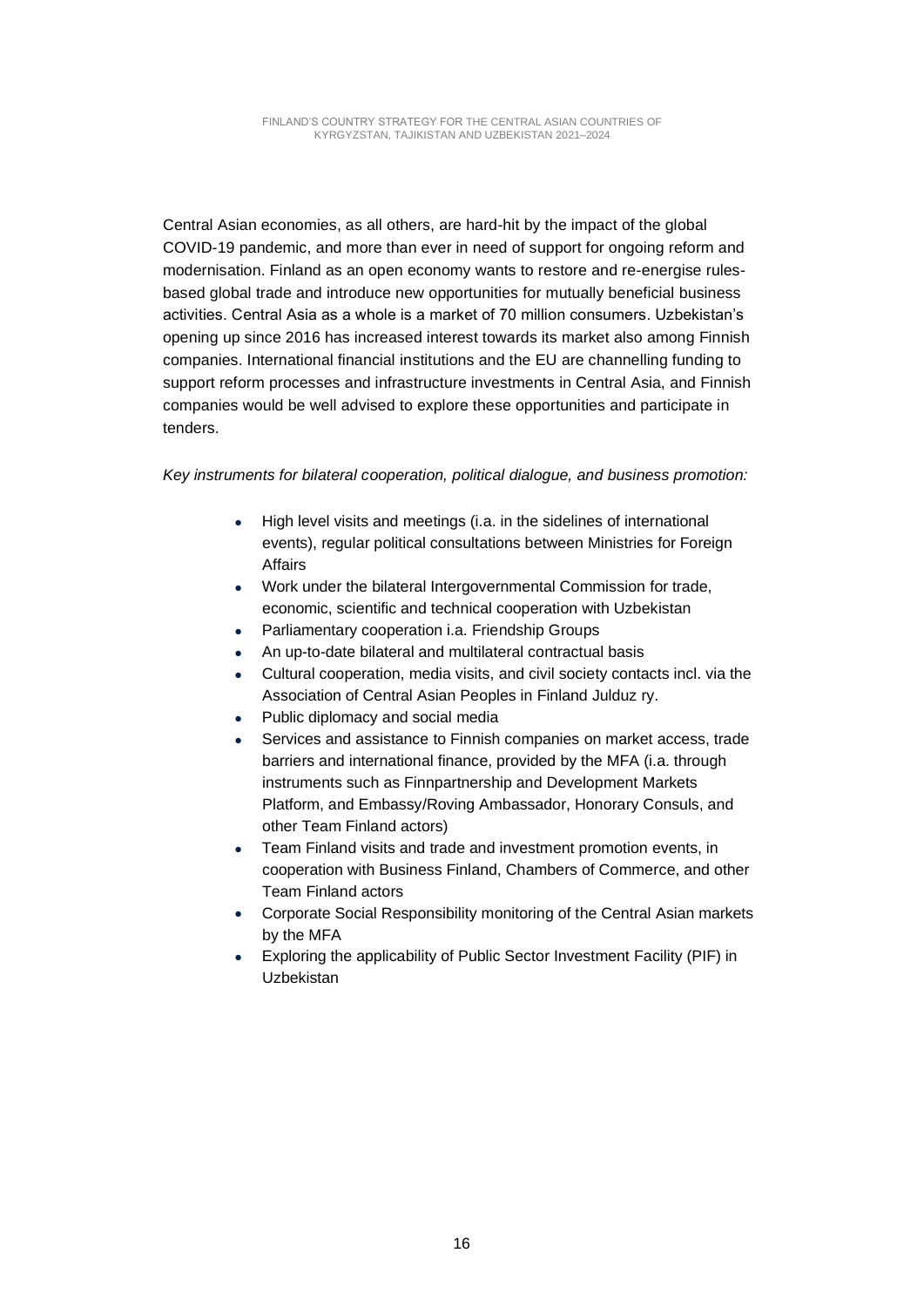Central Asian economies, as all others, are hard-hit by the impact of the global COVID-19 pandemic, and more than ever in need of support for ongoing reform and modernisation. Finland as an open economy wants to restore and re-energise rulesbased global trade and introduce new opportunities for mutually beneficial business activities. Central Asia as a whole is a market of 70 million consumers. Uzbekistan's opening up since 2016 has increased interest towards its market also among Finnish companies. International financial institutions and the EU are channelling funding to support reform processes and infrastructure investments in Central Asia, and Finnish companies would be well advised to explore these opportunities and participate in tenders.

#### *Key instruments for bilateral cooperation, political dialogue, and business promotion:*

- High level visits and meetings (i.a. in the sidelines of international events), regular political consultations between Ministries for Foreign Affairs
- Work under the bilateral Intergovernmental Commission for trade, economic, scientific and technical cooperation with Uzbekistan
- Parliamentary cooperation i.a. Friendship Groups
- An up-to-date bilateral and multilateral contractual basis
- Cultural cooperation, media visits, and civil society contacts incl. via the Association of Central Asian Peoples in Finland Julduz ry.
- Public diplomacy and social media
- Services and assistance to Finnish companies on market access, trade barriers and international finance, provided by the MFA (i.a. through instruments such as Finnpartnership and Development Markets Platform, and Embassy/Roving Ambassador, Honorary Consuls, and other Team Finland actors)
- Team Finland visits and trade and investment promotion events, in cooperation with Business Finland, Chambers of Commerce, and other Team Finland actors
- Corporate Social Responsibility monitoring of the Central Asian markets by the MFA
- Exploring the applicability of Public Sector Investment Facility (PIF) in Uzbekistan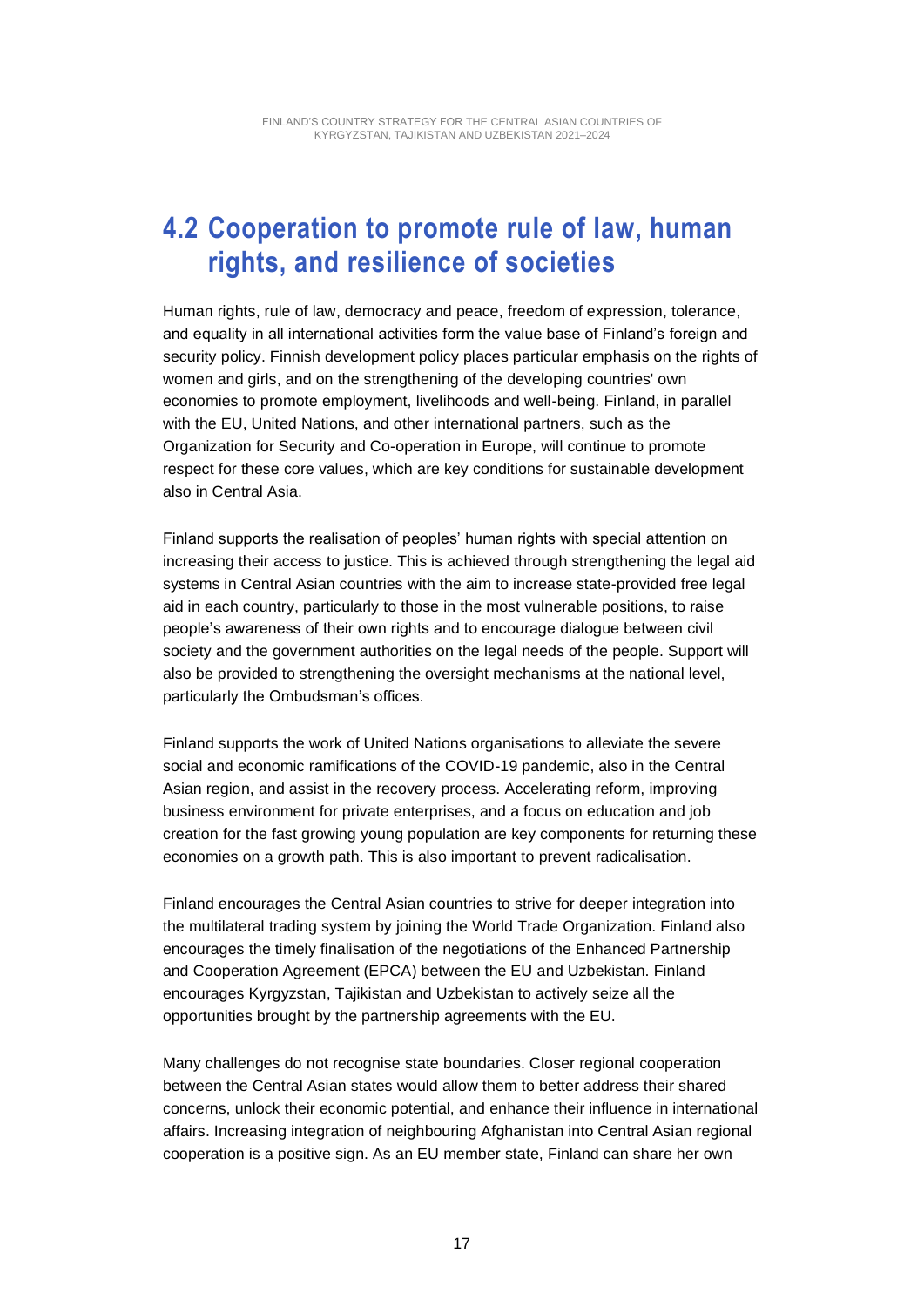#### **4.2 Cooperation to promote rule of law, human rights, and resilience of societies**

Human rights, rule of law, democracy and peace, freedom of expression, tolerance, and equality in all international activities form the value base of Finland's foreign and security policy. Finnish development policy places particular emphasis on the rights of women and girls, and on the strengthening of the developing countries' own economies to promote employment, livelihoods and well-being. Finland, in parallel with the EU, United Nations, and other international partners, such as the Organization for Security and Co-operation in Europe, will continue to promote respect for these core values, which are key conditions for sustainable development also in Central Asia.

Finland supports the realisation of peoples' human rights with special attention on increasing their access to justice. This is achieved through strengthening the legal aid systems in Central Asian countries with the aim to increase state-provided free legal aid in each country, particularly to those in the most vulnerable positions, to raise people's awareness of their own rights and to encourage dialogue between civil society and the government authorities on the legal needs of the people. Support will also be provided to strengthening the oversight mechanisms at the national level, particularly the Ombudsman's offices.

Finland supports the work of United Nations organisations to alleviate the severe social and economic ramifications of the COVID-19 pandemic, also in the Central Asian region, and assist in the recovery process. Accelerating reform, improving business environment for private enterprises, and a focus on education and job creation for the fast growing young population are key components for returning these economies on a growth path. This is also important to prevent radicalisation.

Finland encourages the Central Asian countries to strive for deeper integration into the multilateral trading system by joining the World Trade Organization. Finland also encourages the timely finalisation of the negotiations of the Enhanced Partnership and Cooperation Agreement (EPCA) between the EU and Uzbekistan. Finland encourages Kyrgyzstan, Tajikistan and Uzbekistan to actively seize all the opportunities brought by the partnership agreements with the EU.

Many challenges do not recognise state boundaries. Closer regional cooperation between the Central Asian states would allow them to better address their shared concerns, unlock their economic potential, and enhance their influence in international affairs. Increasing integration of neighbouring Afghanistan into Central Asian regional cooperation is a positive sign. As an EU member state, Finland can share her own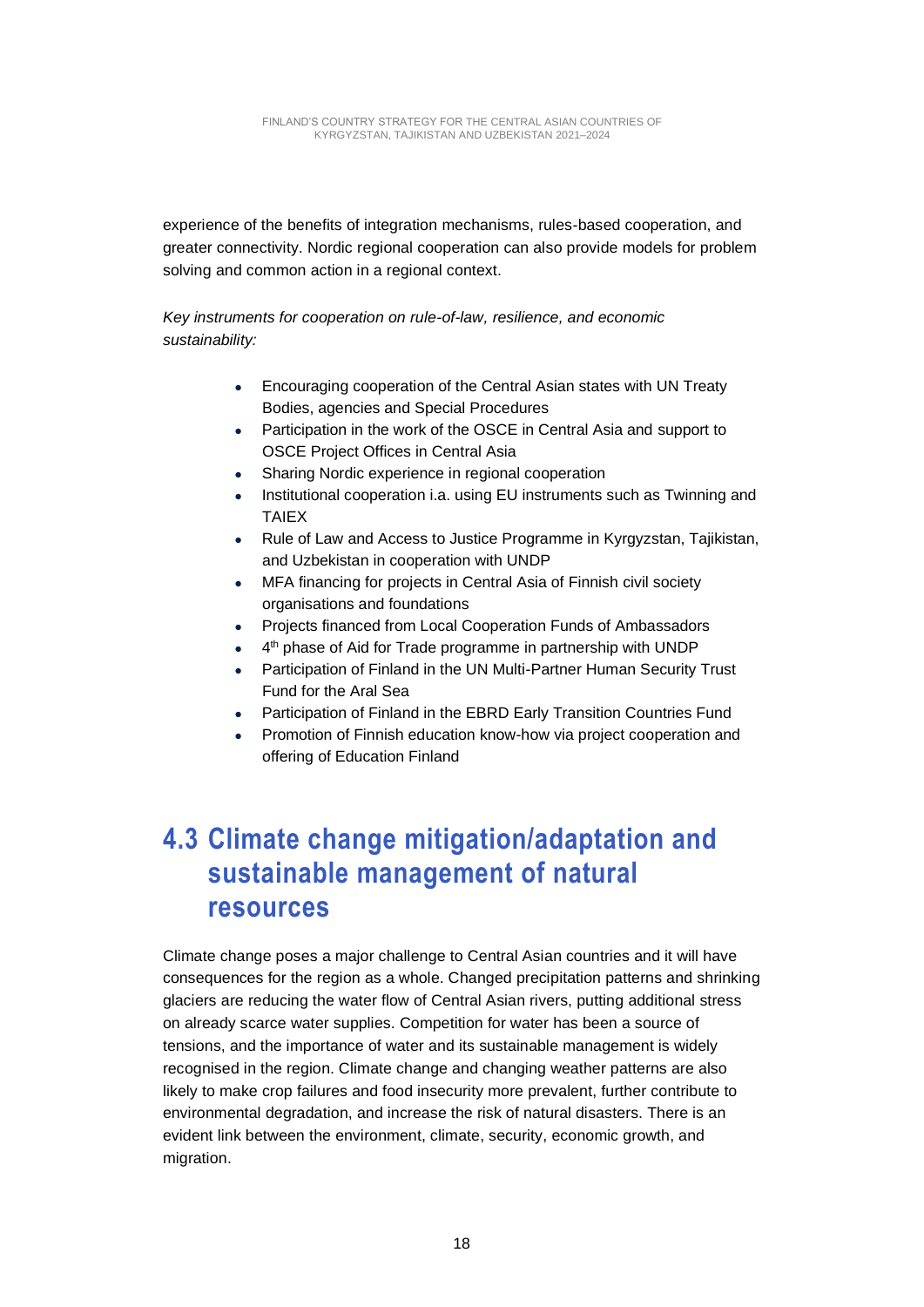experience of the benefits of integration mechanisms, rules-based cooperation, and greater connectivity. Nordic regional cooperation can also provide models for problem solving and common action in a regional context.

*Key instruments for cooperation on rule-of-law, resilience, and economic sustainability:*

- Encouraging cooperation of the Central Asian states with UN Treaty Bodies, agencies and Special Procedures
- Participation in the work of the OSCE in Central Asia and support to OSCE Project Offices in Central Asia
- Sharing Nordic experience in regional cooperation
- Institutional cooperation i.a. using EU instruments such as Twinning and TAIEX
- Rule of Law and Access to Justice Programme in Kyrgyzstan, Tajikistan, and Uzbekistan in cooperation with UNDP
- MFA financing for projects in Central Asia of Finnish civil society organisations and foundations
- Projects financed from Local Cooperation Funds of Ambassadors
- 4<sup>th</sup> phase of Aid for Trade programme in partnership with UNDP
- Participation of Finland in the UN Multi-Partner Human Security Trust Fund for the Aral Sea
- Participation of Finland in the EBRD Early Transition Countries Fund
- Promotion of Finnish education know-how via project cooperation and offering of Education Finland

#### **4.3 Climate change mitigation/adaptation and sustainable management of natural resources**

Climate change poses a major challenge to Central Asian countries and it will have consequences for the region as a whole. Changed precipitation patterns and shrinking glaciers are reducing the water flow of Central Asian rivers, putting additional stress on already scarce water supplies. Competition for water has been a source of tensions, and the importance of water and its sustainable management is widely recognised in the region. Climate change and changing weather patterns are also likely to make crop failures and food insecurity more prevalent, further contribute to environmental degradation, and increase the risk of natural disasters. There is an evident link between the environment, climate, security, economic growth, and migration.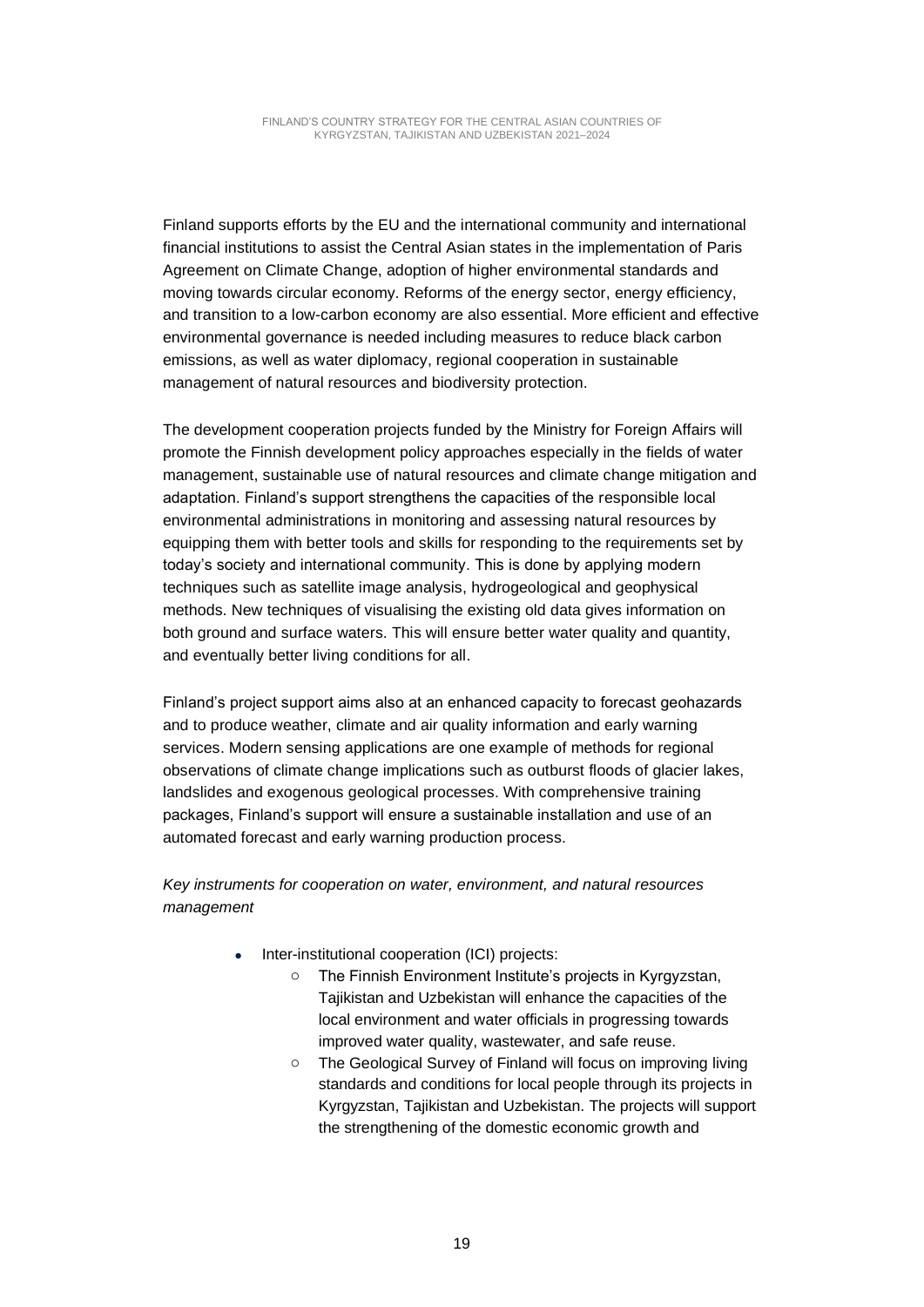Finland supports efforts by the EU and the international community and international financial institutions to assist the Central Asian states in the implementation of Paris Agreement on Climate Change, adoption of higher environmental standards and moving towards circular economy. Reforms of the energy sector, energy efficiency, and transition to a low-carbon economy are also essential. More efficient and effective environmental governance is needed including measures to reduce black carbon emissions, as well as water diplomacy, regional cooperation in sustainable management of natural resources and biodiversity protection.

The development cooperation projects funded by the Ministry for Foreign Affairs will promote the Finnish development policy approaches especially in the fields of water management, sustainable use of natural resources and climate change mitigation and adaptation. Finland's support strengthens the capacities of the responsible local environmental administrations in monitoring and assessing natural resources by equipping them with better tools and skills for responding to the requirements set by today's society and international community. This is done by applying modern techniques such as satellite image analysis, hydrogeological and geophysical methods. New techniques of visualising the existing old data gives information on both ground and surface waters. This will ensure better water quality and quantity, and eventually better living conditions for all.

Finland's project support aims also at an enhanced capacity to forecast geohazards and to produce weather, climate and air quality information and early warning services. Modern sensing applications are one example of methods for regional observations of climate change implications such as outburst floods of glacier lakes, landslides and exogenous geological processes. With comprehensive training packages, Finland's support will ensure a sustainable installation and use of an automated forecast and early warning production process.

*Key instruments for cooperation on water, environment, and natural resources management*

- Inter-institutional cooperation (ICI) projects:
	- o The Finnish Environment Institute's projects in Kyrgyzstan, Tajikistan and Uzbekistan will enhance the capacities of the local environment and water officials in progressing towards improved water quality, wastewater, and safe reuse.
	- o The Geological Survey of Finland will focus on improving living standards and conditions for local people through its projects in Kyrgyzstan, Tajikistan and Uzbekistan. The projects will support the strengthening of the domestic economic growth and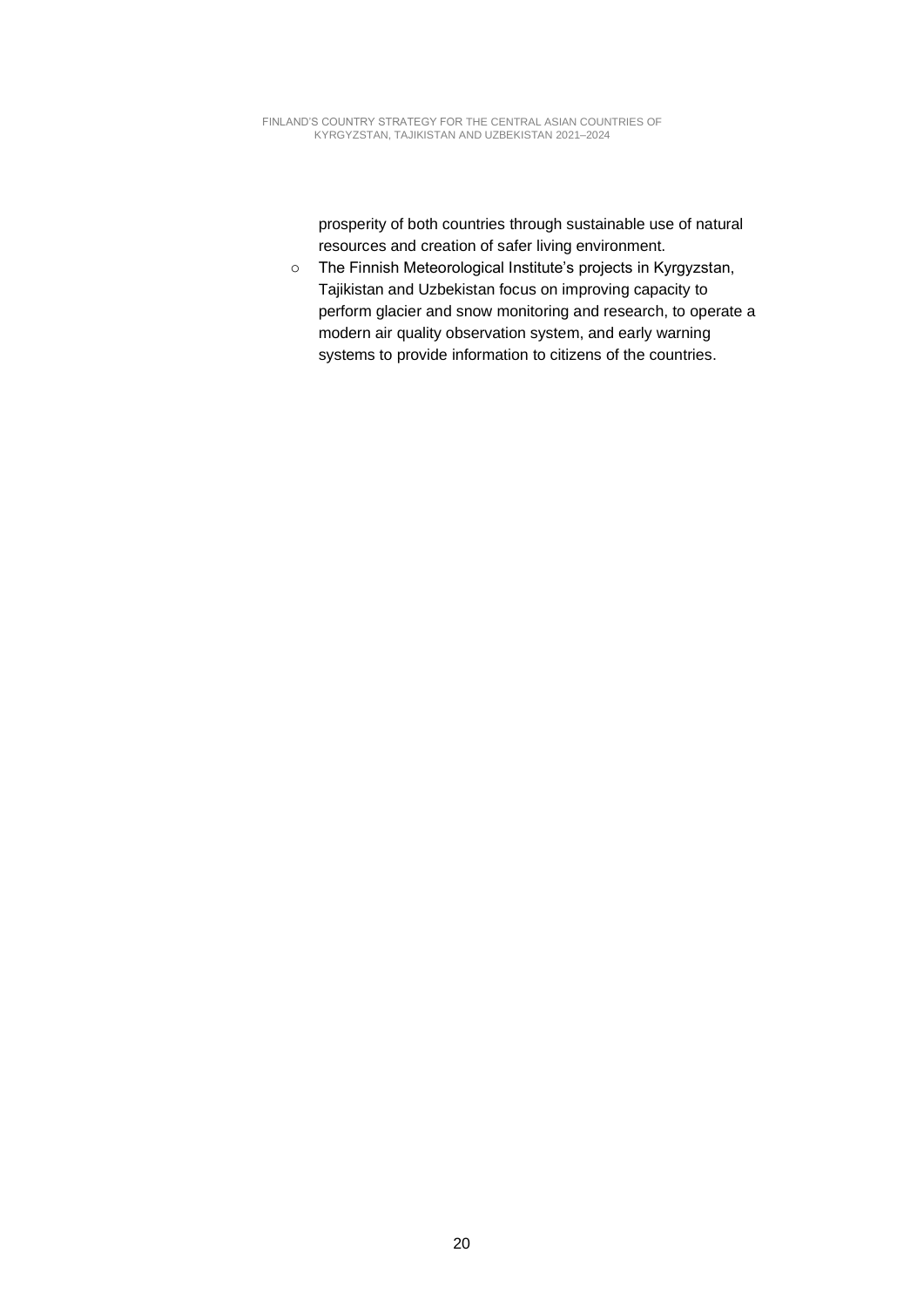prosperity of both countries through sustainable use of natural resources and creation of safer living environment.

o The Finnish Meteorological Institute's projects in Kyrgyzstan, Tajikistan and Uzbekistan focus on improving capacity to perform glacier and snow monitoring and research, to operate a modern air quality observation system, and early warning systems to provide information to citizens of the countries.